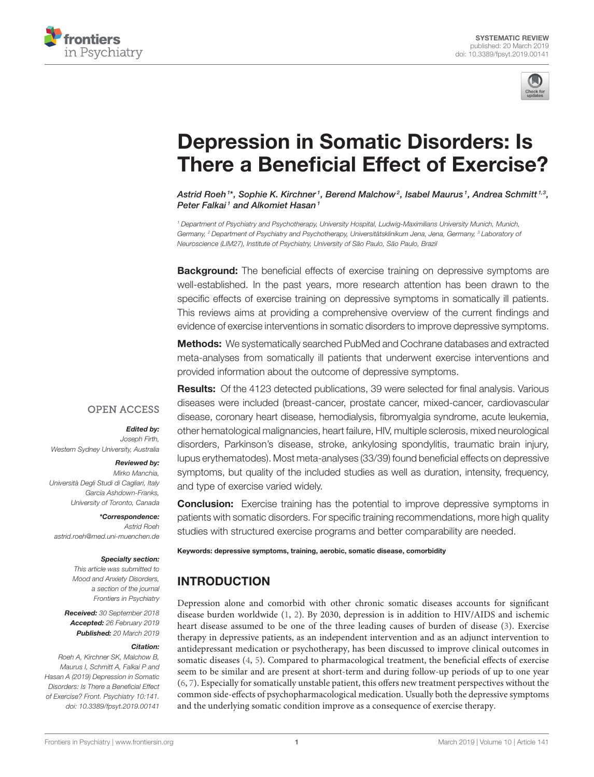



# [Depression in Somatic Disorders: Is](https://www.frontiersin.org/articles/10.3389/fpsyt.2019.00141/full) There a Beneficial Effect of Exercise?

[Astrid Roeh](http://loop.frontiersin.org/people/621798/overview)  $^{\text{1*}},$  Sophie K. Kirchner  $^{\text{1}},$  [Berend Malchow](http://loop.frontiersin.org/people/35837/overview)  $^{\text{2}},$  [Isabel Maurus](http://loop.frontiersin.org/people/698663/overview)  $^{\text{1}},$  [Andrea Schmitt](http://loop.frontiersin.org/people/123525/overview)  $^{\text{1,3}},$ [Peter Falkai](http://loop.frontiersin.org/people/10309/overview)<sup>1</sup> and [Alkomiet Hasan](http://loop.frontiersin.org/people/76983/overview)<sup>1</sup>

<sup>1</sup> Department of Psychiatry and Psychotherapy, University Hospital, Ludwig-Maximilians University Munich, Munich, Germany, <sup>2</sup> Department of Psychiatry and Psychotherapy, Universitätsklinikum Jena, Jena, Germany, <sup>3</sup> Laboratory of Neuroscience (LIM27), Institute of Psychiatry, University of São Paulo, São Paulo, Brazil

**Background:** The beneficial effects of exercise training on depressive symptoms are well-established. In the past years, more research attention has been drawn to the specific effects of exercise training on depressive symptoms in somatically ill patients. This reviews aims at providing a comprehensive overview of the current findings and evidence of exercise interventions in somatic disorders to improve depressive symptoms.

Methods: We systematically searched PubMed and Cochrane databases and extracted meta-analyses from somatically ill patients that underwent exercise interventions and provided information about the outcome of depressive symptoms.

# **OPEN ACCESS**

#### Edited by:

Joseph Firth, Western Sydney University, Australia

#### Reviewed by:

Mirko Manchia, Università Degli Studi di Cagliari, Italy Garcia Ashdown-Franks, University of Toronto, Canada

\*Correspondence: Astrid Roeh [astrid.roeh@med.uni-muenchen.de](mailto:astrid.roeh@med.uni-muenchen.de)

#### Specialty section:

This article was submitted to Mood and Anxiety Disorders, a section of the journal Frontiers in Psychiatry

Received: 30 September 2018 Accepted: 26 February 2019 Published: 20 March 2019

#### Citation:

Roeh A, Kirchner SK, Malchow B, Maurus I, Schmitt A, Falkai P and Hasan A (2019) Depression in Somatic Disorders: Is There a Beneficial Effect of Exercise? Front. Psychiatry 10:141. doi: [10.3389/fpsyt.2019.00141](https://doi.org/10.3389/fpsyt.2019.00141)

Results: Of the 4123 detected publications, 39 were selected for final analysis. Various diseases were included (breast-cancer, prostate cancer, mixed-cancer, cardiovascular disease, coronary heart disease, hemodialysis, fibromyalgia syndrome, acute leukemia, other hematological malignancies, heart failure, HIV, multiple sclerosis, mixed neurological disorders, Parkinson's disease, stroke, ankylosing spondylitis, traumatic brain injury, lupus erythematodes). Most meta-analyses (33/39) found beneficial effects on depressive symptoms, but quality of the included studies as well as duration, intensity, frequency, and type of exercise varied widely.

**Conclusion:** Exercise training has the potential to improve depressive symptoms in patients with somatic disorders. For specific training recommendations, more high quality studies with structured exercise programs and better comparability are needed.

Keywords: depressive symptoms, training, aerobic, somatic disease, comorbidity

# INTRODUCTION

Depression alone and comorbid with other chronic somatic diseases accounts for significant disease burden worldwide [\(1,](#page-14-0) [2\)](#page-14-1). By 2030, depression is in addition to HIV/AIDS and ischemic heart disease assumed to be one of the three leading causes of burden of disease [\(3\)](#page-14-2). Exercise therapy in depressive patients, as an independent intervention and as an adjunct intervention to antidepressant medication or psychotherapy, has been discussed to improve clinical outcomes in somatic diseases [\(4,](#page-14-3) [5\)](#page-14-4). Compared to pharmacological treatment, the beneficial effects of exercise seem to be similar and are present at short-term and during follow-up periods of up to one year [\(6,](#page-14-5) [7\)](#page-14-6). Especially for somatically unstable patient, this offers new treatment perspectives without the common side-effects of psychopharmacological medication. Usually both the depressive symptoms and the underlying somatic condition improve as a consequence of exercise therapy.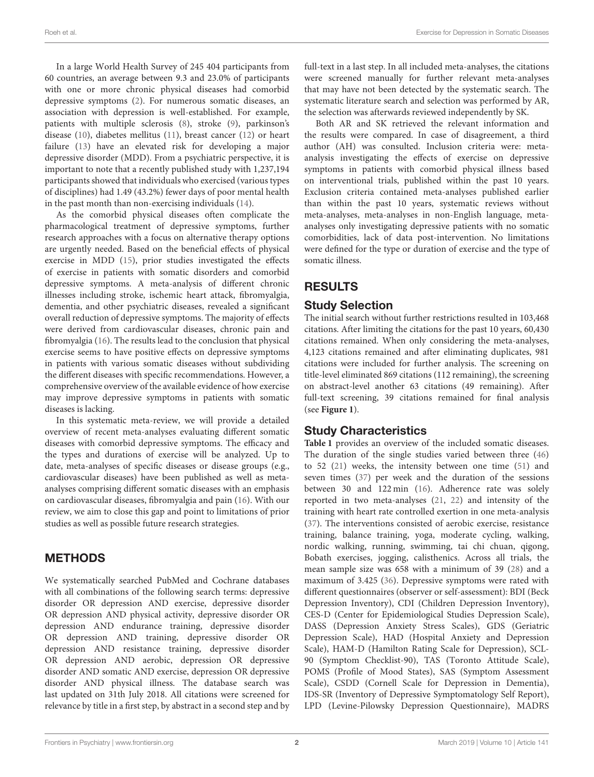In a large World Health Survey of 245 404 participants from 60 countries, an average between 9.3 and 23.0% of participants with one or more chronic physical diseases had comorbid depressive symptoms [\(2\)](#page-14-1). For numerous somatic diseases, an association with depression is well-established. For example, patients with multiple sclerosis [\(8\)](#page-14-7), stroke [\(9\)](#page-14-8), parkinson's disease [\(10\)](#page-14-9), diabetes mellitus [\(11\)](#page-14-10), breast cancer [\(12\)](#page-14-11) or heart failure [\(13\)](#page-14-12) have an elevated risk for developing a major depressive disorder (MDD). From a psychiatric perspective, it is important to note that a recently published study with 1,237,194 participants showed that individuals who exercised (varioustypes of disciplines) had 1.49 (43.2%) fewer days of poor mental health in the past month than non-exercising individuals [\(14\)](#page-14-13).

As the comorbid physical diseases often complicate the pharmacological treatment of depressive symptoms, further research approaches with a focus on alternative therapy options are urgently needed. Based on the beneficial effects of physical exercise in MDD [\(15\)](#page-14-14), prior studies investigated the effects of exercise in patients with somatic disorders and comorbid depressive symptoms. A meta-analysis of different chronic illnesses including stroke, ischemic heart attack, fibromyalgia, dementia, and other psychiatric diseases, revealed a significant overall reduction of depressive symptoms. The majority of effects were derived from cardiovascular diseases, chronic pain and fibromyalgia [\(16\)](#page-14-15). The results lead to the conclusion that physical exercise seems to have positive effects on depressive symptoms in patients with various somatic diseases without subdividing the different diseases with specific recommendations. However, a comprehensive overview of the available evidence of how exercise may improve depressive symptoms in patients with somatic diseases is lacking.

In this systematic meta-review, we will provide a detailed overview of recent meta-analyses evaluating different somatic diseases with comorbid depressive symptoms. The efficacy and the types and durations of exercise will be analyzed. Up to date, meta-analyses of specific diseases or disease groups (e.g., cardiovascular diseases) have been published as well as metaanalyses comprising different somatic diseases with an emphasis on cardiovascular diseases, fibromyalgia and pain [\(16\)](#page-14-15). With our review, we aim to close this gap and point to limitations of prior studies as well as possible future research strategies.

# METHODS

We systematically searched PubMed and Cochrane databases with all combinations of the following search terms: depressive disorder OR depression AND exercise, depressive disorder OR depression AND physical activity, depressive disorder OR depression AND endurance training, depressive disorder OR depression AND training, depressive disorder OR depression AND resistance training, depressive disorder OR depression AND aerobic, depression OR depressive disorder AND somatic AND exercise, depression OR depressive disorder AND physical illness. The database search was last updated on 31th July 2018. All citations were screened for relevance by title in a first step, by abstract in a second step and by full-text in a last step. In all included meta-analyses, the citations were screened manually for further relevant meta-analyses that may have not been detected by the systematic search. The systematic literature search and selection was performed by AR, the selection was afterwards reviewed independently by SK.

Both AR and SK retrieved the relevant information and the results were compared. In case of disagreement, a third author (AH) was consulted. Inclusion criteria were: metaanalysis investigating the effects of exercise on depressive symptoms in patients with comorbid physical illness based on interventional trials, published within the past 10 years. Exclusion criteria contained meta-analyses published earlier than within the past 10 years, systematic reviews without meta-analyses, meta-analyses in non-English language, metaanalyses only investigating depressive patients with no somatic comorbidities, lack of data post-intervention. No limitations were defined for the type or duration of exercise and the type of somatic illness.

# RESULTS

# Study Selection

The initial search without further restrictions resulted in 103,468 citations. After limiting the citations for the past 10 years, 60,430 citations remained. When only considering the meta-analyses, 4,123 citations remained and after eliminating duplicates, 981 citations were included for further analysis. The screening on title-level eliminated 869 citations (112 remaining), the screening on abstract-level another 63 citations (49 remaining). After full-text screening, 39 citations remained for final analysis (see **[Figure 1](#page-2-0)**).

# Study Characteristics

**[Table 1](#page-2-1)** provides an overview of the included somatic diseases. The duration of the single studies varied between three [\(46\)](#page-15-0) to 52 [\(21\)](#page-15-1) weeks, the intensity between one time [\(51\)](#page-15-2) and seven times [\(37\)](#page-15-3) per week and the duration of the sessions between 30 and 122 min [\(16\)](#page-14-15). Adherence rate was solely reported in two meta-analyses [\(21,](#page-15-1) [22\)](#page-15-4) and intensity of the training with heart rate controlled exertion in one meta-analysis [\(37\)](#page-15-3). The interventions consisted of aerobic exercise, resistance training, balance training, yoga, moderate cycling, walking, nordic walking, running, swimming, tai chi chuan, qigong, Bobath exercises, jogging, calisthenics. Across all trials, the mean sample size was 658 with a minimum of 39 [\(28\)](#page-15-5) and a maximum of 3.425 [\(36\)](#page-15-6). Depressive symptoms were rated with different questionnaires (observer or self-assessment): BDI (Beck Depression Inventory), CDI (Children Depression Inventory), CES-D (Center for Epidemiological Studies Depression Scale), DASS (Depression Anxiety Stress Scales), GDS (Geriatric Depression Scale), HAD (Hospital Anxiety and Depression Scale), HAM-D (Hamilton Rating Scale for Depression), SCL-90 (Symptom Checklist-90), TAS (Toronto Attitude Scale), POMS (Profile of Mood States), SAS (Symptom Assessment Scale), CSDD (Cornell Scale for Depression in Dementia), IDS-SR (Inventory of Depressive Symptomatology Self Report), LPD (Levine-Pilowsky Depression Questionnaire), MADRS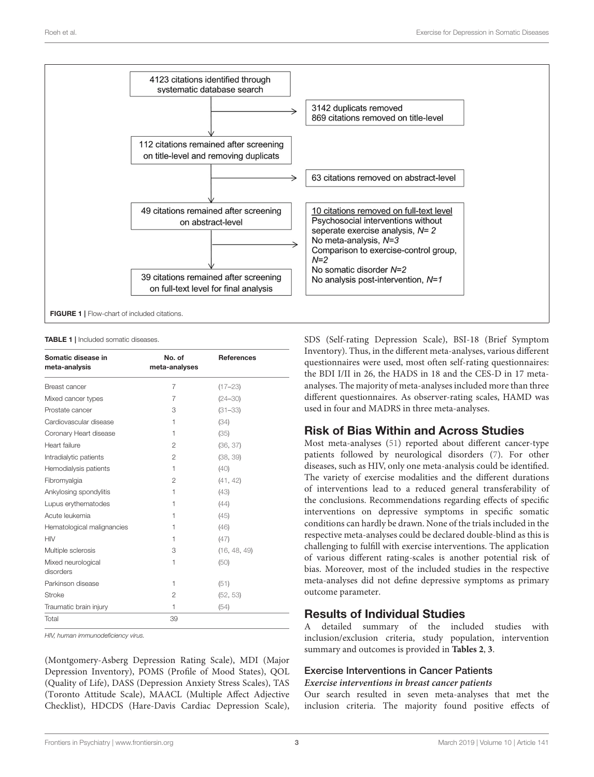

<span id="page-2-1"></span><span id="page-2-0"></span>TABLE 1 | Included somatic diseases.

| Somatic disease in<br>meta-analysis | No. of<br>meta-analyses | <b>References</b> |
|-------------------------------------|-------------------------|-------------------|
| Breast cancer                       | 7                       | $(17 - 23)$       |
| Mixed cancer types                  | 7                       | $(24 - 30)$       |
| Prostate cancer                     | 3                       | $(31 - 33)$       |
| Cardiovascular disease              | 1                       | (34)              |
| Coronary Heart disease              | 1                       | (35)              |
| Heart failure                       | $\mathfrak{p}$          | (36, 37)          |
| Intradialytic patients              | 2                       | (38, 39)          |
| Hemodialysis patients               | 1                       | (40)              |
| Fibromyalgia                        | 2                       | (41, 42)          |
| Ankylosing spondylitis              | 1                       | (43)              |
| Lupus erythematodes                 | 1                       | (44)              |
| Acute leukemia                      | 1                       | (45)              |
| Hematological malignancies          | 1                       | (46)              |
| <b>HIV</b>                          | 1                       | (47)              |
| Multiple sclerosis                  | 3                       | (16, 48, 49)      |
| Mixed neurological<br>disorders     | 1                       | (50)              |
| Parkinson disease                   | 1                       | (51)              |
| <b>Stroke</b>                       | $\overline{2}$          | (52, 53)          |
| Traumatic brain injury              | 1                       | (54)              |
| Total                               | 39                      |                   |

HIV, human immunodeficiency virus.

(Montgomery-Asberg Depression Rating Scale), MDI (Major Depression Inventory), POMS (Profile of Mood States), QOL (Quality of Life), DASS (Depression Anxiety Stress Scales), TAS (Toronto Attitude Scale), MAACL (Multiple Affect Adjective Checklist), HDCDS (Hare-Davis Cardiac Depression Scale), SDS (Self-rating Depression Scale), BSI-18 (Brief Symptom Inventory). Thus, in the different meta-analyses, various different questionnaires were used, most often self-rating questionnaires: the BDI I/II in 26, the HADS in 18 and the CES-D in 17 metaanalyses. The majority of meta-analyses included more than three different questionnaires. As observer-rating scales, HAMD was used in four and MADRS in three meta-analyses.

# Risk of Bias Within and Across Studies

Most meta-analyses [\(51\)](#page-15-2) reported about different cancer-type patients followed by neurological disorders [\(7\)](#page-14-6). For other diseases, such as HIV, only one meta-analysis could be identified. The variety of exercise modalities and the different durations of interventions lead to a reduced general transferability of the conclusions. Recommendations regarding effects of specific interventions on depressive symptoms in specific somatic conditions can hardly be drawn. None of the trials included in the respective meta-analyses could be declared double-blind as this is challenging to fulfill with exercise interventions. The application of various different rating-scales is another potential risk of bias. Moreover, most of the included studies in the respective meta-analyses did not define depressive symptoms as primary outcome parameter.

# Results of Individual Studies

A detailed summary of the included studies with inclusion/exclusion criteria, study population, intervention summary and outcomes is provided in **[Tables 2](#page-3-0)**, **[3](#page-10-0)**.

# Exercise Interventions in Cancer Patients

#### **Exercise interventions in breast cancer patients**

Our search resulted in seven meta-analyses that met the inclusion criteria. The majority found positive effects of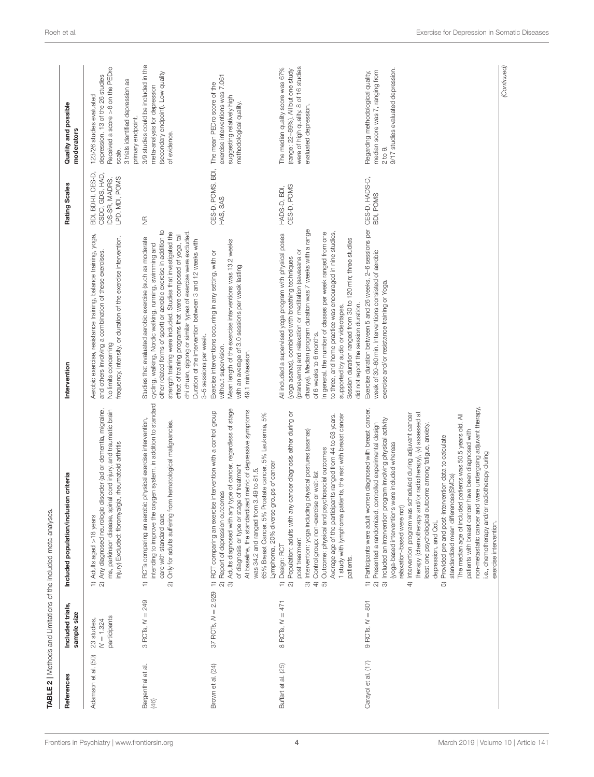<span id="page-3-0"></span>

|                           |                                           | TABLE 2   Methods and Limitations of the included meta-analyses                                                                                                                                                                                                                                                                                                                                                                                                                                                                                                                                                                                                                                                                                                                                                                                                                                                          |                                                                                                                                                                                                                                                                                                                                                                                                                                                                                                                                         |                                                                           |                                                                                                                                                                      |
|---------------------------|-------------------------------------------|--------------------------------------------------------------------------------------------------------------------------------------------------------------------------------------------------------------------------------------------------------------------------------------------------------------------------------------------------------------------------------------------------------------------------------------------------------------------------------------------------------------------------------------------------------------------------------------------------------------------------------------------------------------------------------------------------------------------------------------------------------------------------------------------------------------------------------------------------------------------------------------------------------------------------|-----------------------------------------------------------------------------------------------------------------------------------------------------------------------------------------------------------------------------------------------------------------------------------------------------------------------------------------------------------------------------------------------------------------------------------------------------------------------------------------------------------------------------------------|---------------------------------------------------------------------------|----------------------------------------------------------------------------------------------------------------------------------------------------------------------|
| References                | Included trials,<br>sample size           | Included population/inclusion criteria                                                                                                                                                                                                                                                                                                                                                                                                                                                                                                                                                                                                                                                                                                                                                                                                                                                                                   | Intervention                                                                                                                                                                                                                                                                                                                                                                                                                                                                                                                            | Rating Scales                                                             | Quality and possible<br>moderators                                                                                                                                   |
| Adamson et al. (50)       | participants<br>23 studies<br>$N = 1.324$ | c disorder (ad or dementia, migraine,<br>ms, parkinson disease, spinal cord injury, and traumatic brain<br>injury) Excluded: fibromyalgia, rheumatoid arthritis<br>2) Any diagnosed neurologi<br>1) Adults aged >18 years                                                                                                                                                                                                                                                                                                                                                                                                                                                                                                                                                                                                                                                                                                | Aerobic exercise, resistance training, balance training, yoga,<br>frequency, intensity, or duration of the exercise intervention.<br>and others involving a combination of these exercises.<br>No limits concerning                                                                                                                                                                                                                                                                                                                     | BDI, BDI-II, CES-D<br>CSDD, GDS, HAD,<br>LPD, MDI, POMS<br>IDS-SR, MADRS, | Received a score >6 on the PEDro<br>depression. 13 of the 26 studies<br>3 trials identified depression as<br>123/26 studies evaluated<br>primary endpoint.<br>scale. |
| Bergenthal et al.<br>(46) | $= 249$<br>3 RCTs, N                      | intending to improve the oxygen system, in addition to standard<br>1) RCTs comparing an aerobic physical exercise intervention,<br>Only for adults suffering from hematological malignancies.<br>care with standard care<br>$\widehat{\infty}$                                                                                                                                                                                                                                                                                                                                                                                                                                                                                                                                                                                                                                                                           | other related forms of sport) or aerobic exercise in addition to<br>strength training were included. Studies that investigated the<br>chi chuan, qigong or similar types of exercise were excluded.<br>effect of training programs that were composed of yoga, tai<br>Studies that evaluated aerobic exercise (such as moderate<br>Duration of the intervention between 3 and 12 weeks with<br>cycling, walking, Nordic walking, running, swimming and<br>3-5 sessions per week.                                                        | $\frac{\pi}{2}$                                                           | 3/9 studies could be included in the<br>(secondary endpoint). Low quality<br>meta-analysis for depression<br>of evidence.                                            |
| Brown et al. (24)         | 37 RCTs, $N = 2.929$                      | Adults diagnosed with any type of cancer, regardless of stage<br>At baseline, the standardized metric of depressive symptoms<br>RCT comparing an exercise intervention with a control group<br>Prostate cancer, 5% Leukemia, 5%<br>groups of cancer<br>of diagnosis or type or stage of treatment<br>was 34.2 and ranged from 3.49 to 81.5.<br>Report of depression outcomes<br>Lymphoma, 20% diverse<br>65% Breast Cancer, 5%<br>$\Rightarrow$<br>$\widehat{\infty}$<br>$\widehat{\infty}$                                                                                                                                                                                                                                                                                                                                                                                                                              | Mean length of the exercise interventions was 13.2 weeks<br>Exercise interventions occurring in any setting, with or<br>with an average of 3.0 sessions per week lasting<br>without supervision.<br>49.1 min/session.                                                                                                                                                                                                                                                                                                                   | CES-D, POMS, BDI,<br>HAS, SAS                                             | exercise interventions was 7.061<br>The mean PEDro score of the<br>suggesting relatively high<br>methodological quality.                                             |
| Buffart et al. (25)       | $B$ RCTs, $N = 471$                       | Population: adults with any cancer diagnosis either during or<br>1 study with lymphoma patients, the rest with breast cancer<br>Average age of the participants ranged from 44 to 63 years.<br>Intervention: yoga including physical postures (asanas)<br>Outcome: physical and psychosocial outcomes<br>Control group: non-exercise or wait-list<br>post treatment<br>Design: RCT<br>patients.<br>$\widehat{\infty}$<br>$\widehat{\dashv}$<br>$\widehat{=}$ $\widehat{\alpha}$<br>ര                                                                                                                                                                                                                                                                                                                                                                                                                                     | dhanya). Median program duration was 7 weeks with a range<br>In general, the number of classes per week ranged from one<br>to three, and home practice was encouraged in nine studies,<br>All included a supervised yoga program with physical poses<br>Session duration ranged from 30 to 120 min; three studies<br>(pranayama) and relaxation or meditation (savasana or<br>(yoga asanas), combined with breathing techniques<br>did not report the session duration.<br>supported by audio or videotapes.<br>of 6 weeks to 6 months. | CES-D, POMS<br>HADS-D, BDI,                                               | were of high quality. 8 of 16 studies<br>The median quality score was 67%<br>(range: 22-89%). All but one study<br>evaluated depression.                             |
| Carayol et al. (17)       | $9$ RCTs, $N = 801$                       | non-metastatic cancer and were undergoing adjuvant therapy,<br>1) Participants were adult women diagnosed with breast cancer,<br>therapy (chemotherapy and/or radiotherapy), (v) assessed at<br>Intervention program was scheduled during adjuvant cancer<br>The median age of included patients was 50.5 years old. All<br>program involving physical activity<br>Presented a randomized, controlled experimental design<br>least one psychological outcome among fatigue, anxiety,<br>patients with breast cancer have been diagnosed with<br>Provided pre and post-intervention data to calculate<br>s were included whereas<br>i.e., chemotherapy and/or radiotherapy during<br>standardized mean differences(SMDs)<br>relaxation-based were not)<br>(yoga-based intervention<br>Included an intervention<br>depression, and QoL<br>exercise intervention.<br>$\widehat{\infty}$ $\widehat{\infty}$<br>$\oplus$<br>6 | Exercise duration between 5 and 26 weeks, 2-6 sessions per CES-D, HADS-D,<br>week of 30-60 min. Interventions consisted of aerobic<br>exercise and/or resistance training or Yoga.                                                                                                                                                                                                                                                                                                                                                      | BDI, POMS                                                                 | 9/17 studies evaluated depression.<br>median score was 7, ranging from<br>Regarding methodological quality,<br>2 to 9.                                               |
|                           |                                           |                                                                                                                                                                                                                                                                                                                                                                                                                                                                                                                                                                                                                                                                                                                                                                                                                                                                                                                          |                                                                                                                                                                                                                                                                                                                                                                                                                                                                                                                                         |                                                                           | (Continued)                                                                                                                                                          |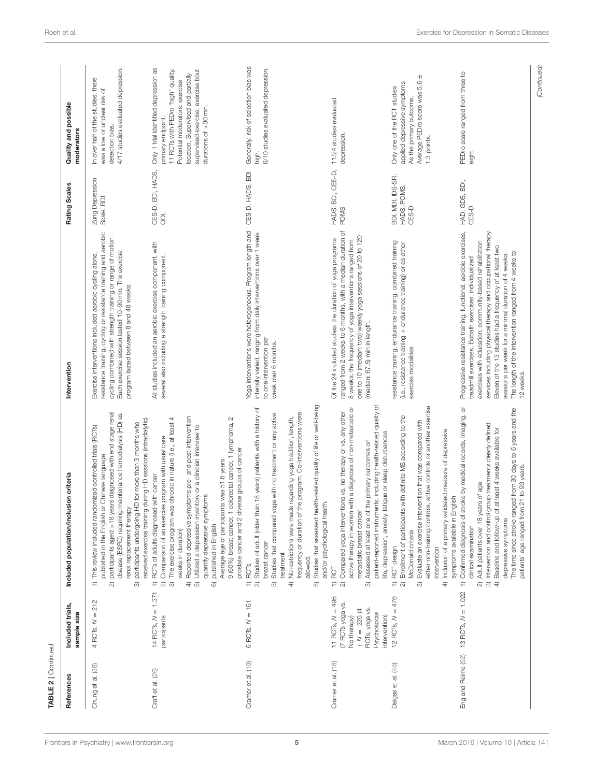| References         | Included trials,<br>sample size                                                                                             | Included population/inclusion criteria                                                                                                                                                                                                                                                                                                                                                                                                                                                                                                                                                                       | Intervention                                                                                                                                                                                                                                                                                                                                                                                                                                   | Rating Scales                             | Quality and possible<br>moderators                                                                                                                                                                                                      |
|--------------------|-----------------------------------------------------------------------------------------------------------------------------|--------------------------------------------------------------------------------------------------------------------------------------------------------------------------------------------------------------------------------------------------------------------------------------------------------------------------------------------------------------------------------------------------------------------------------------------------------------------------------------------------------------------------------------------------------------------------------------------------------------|------------------------------------------------------------------------------------------------------------------------------------------------------------------------------------------------------------------------------------------------------------------------------------------------------------------------------------------------------------------------------------------------------------------------------------------------|-------------------------------------------|-----------------------------------------------------------------------------------------------------------------------------------------------------------------------------------------------------------------------------------------|
| Chung et al. (38)  | 4 RCTs, $N = 212$                                                                                                           | participants aged >18 years diagnosed with end stage renal<br>disease (ESRD) requiring maintenance hemodialysis (HD) as<br>received exercise training during HD sessions (intradialytic)<br>participants undergoing HD for more than 3 months who<br>This review included randomized controlled trials (RCTs)<br>published in the English or Chinese language<br>renal replacement therapy<br>$\Rightarrow$<br>ন<br>ᢛ                                                                                                                                                                                        | resistance training, cycling or resistance training and aerobic<br>cycling combined with strength training or range of motion.<br>Each exercise session lasted 10-90 min. The exercise<br>Exercise interventions included aerobic cycling alone,<br>program lasted between 8 and 48 weeks.                                                                                                                                                     | Zung Depression<br>Scale, BDI             | 4/17 studies evaluated depression.<br>In over half of the studies, there<br>was a low or unclear risk of<br>detection bias.                                                                                                             |
| Craft et al. (26)  | 14 RCTs, $N = 1.371$<br>participants                                                                                        | Reported depressive symptoms pre- and post-intervention<br>colorectal cancer, 1 lymphoma, 2<br>The exercise program was chronic in nature (i.e., at least 4<br>Utilized a depression inventory or a clinidian interview to<br>Comparison of an exercise program with usual care<br>prostate cancer and 2 diverse groups of cancer<br>Average age of participants was 51.6 years<br>RCTs of adults diagnosed with cancer<br>quantify depressive symptoms<br>9 (60%) breast cancer, 1<br>published in English<br>weeks in duration)<br>$\Rightarrow$<br>$\widehat{\infty}$ $\widehat{\infty}$<br>$\oplus$<br>6 | All studies included an aerobic exercise component, with<br>several also including a strength training component.                                                                                                                                                                                                                                                                                                                              | CES-D, BDI, HADS,<br>$\overline{S}$       | Only 1 trial identified depression as<br>supervised exercise, exercise bout<br>11 RCTs with PEDro "high" quality.<br>location, Supervised and partially<br>Potential moderators: exercise<br>durations of >30 min.<br>primary endpoint. |
| Cramer et al. (19) | $6$ RCTs, $N = 161$                                                                                                         | Studies that assessed health-related quality of life or well-being<br>Studies of adult (older than 18 years) patients with a history of<br>frequency or duration of the program. Co-interventions were<br>Studies that compared yoga with no treatment or any active<br>No restrictions were made regarding yoga tradition, length,<br>and/or psychological health.<br>breast cancer<br>treatment<br>allowed.<br><b>RCT<sub>S</sub></b><br>$\widehat{\infty}$<br>$\oplus$<br>$\widehat{=}$ $\widehat{z}$<br>6                                                                                                | Yoga interventions were heterogeneous. Program length and<br>intensity varied, ranging from daily interventions over 1 week<br>to one intervention per<br>week over 6 months.                                                                                                                                                                                                                                                                  | CES-D, HADS, BDI                          | Generally, risk of selection bias was<br>6/10 studies evaluated depression.<br>high.                                                                                                                                                    |
| Cramer et al. (18) | 11 RCTs, $N = 496$<br>(7 RCTs yoga vs.<br>RCTs, yoga vs.<br>$+ N = 226 (4)$<br>Psychosocial<br>intervention)<br>No therapy) | patient-reported instruments, including health-related quality of<br>with a diagnosis of non-metastatic or<br>Compared yoga interventions vs. no therapy or vs. any other<br>life, depression, anxiety, fatigue or sleep disturbances<br>Assessed at least one of the primary outcomes on<br>metastatic breast cancer<br>active therapy in women<br>RCT<br>$\widehat{\rightarrow}$<br>6                                                                                                                                                                                                                      | ranged from 2 weeks to 6 months, with a median duration of<br>one to 10 (median: two) weekly yoga sessions of 20 to 120<br>Of the 24 included studies: the duration of yoga programs<br>8 weeks; the frequency of yoga interventions ranged from<br>(median: 67.5) min in length.                                                                                                                                                              | HADS, BDI, CES-D,<br>POMS                 | 11/24 studies evaluated<br>depression.                                                                                                                                                                                                  |
| Dalgas et al. (48) | 12 RCTs, $N = 476$                                                                                                          | either non-training controls, active controls or another exercise<br>Enrollment of participants with definite MS according to the<br>Evaluate an exercise intervention that was compared with<br>Inclusion of a primary validated measure of depressive<br>symptoms available in English<br>McDonald criteria<br>RCT design<br>intervention<br>$\widehat{=} \widehat{\alpha}$<br>ಣ<br>$\widehat{+}$                                                                                                                                                                                                          | resistance training, endurance training, combined training<br>(i.e., resistance training + endurance training) or as other<br>exercise modalities                                                                                                                                                                                                                                                                                              | BDI, MDI, IDS-SR,<br>HADS, POMS,<br>CES-D | Average PEDro score was 5.6 ±<br>applied depressive symptoms<br>Only one of the RCT studies<br>As the primary outcome.<br>1.3 points.                                                                                                   |
| Eng and Reime (52) | 13 RCTs, $N = 1.022$                                                                                                        | Confirmed diagnosis of stroke by medical records, imaging, or<br>The time since stroke ranged from 30 days to 6 years and the<br>Intervention and control group treatments clearly defined<br>at least 4 weeks available for<br>patients' age ranged from 21 to 93 years.<br>Adult patients over 18 years of age<br>Baseline and follow-up of<br>depressive symptoms<br>clinical examination<br>$\widehat{\infty}$ $\widehat{\infty}$ $\widehat{\infty}$<br>$\Rightarrow$                                                                                                                                    | Progressive resistance training, functional, aerobic exercises,<br>services including physical therapy and occupational therapy<br>exercises with education, community-based rehabilitation<br>Eleven of the 13 studies had a frequency of at least two<br>The length of the intervention ranged from 4 weeks to<br>sessions per week for a minimal duration of 4 weeks.<br>treadmill exercises, Bobath exercises, individualized<br>12 weeks. | HAD, GDS, BDI,<br>CES-D                   | PEDro scale ranged from three to<br>eight.                                                                                                                                                                                              |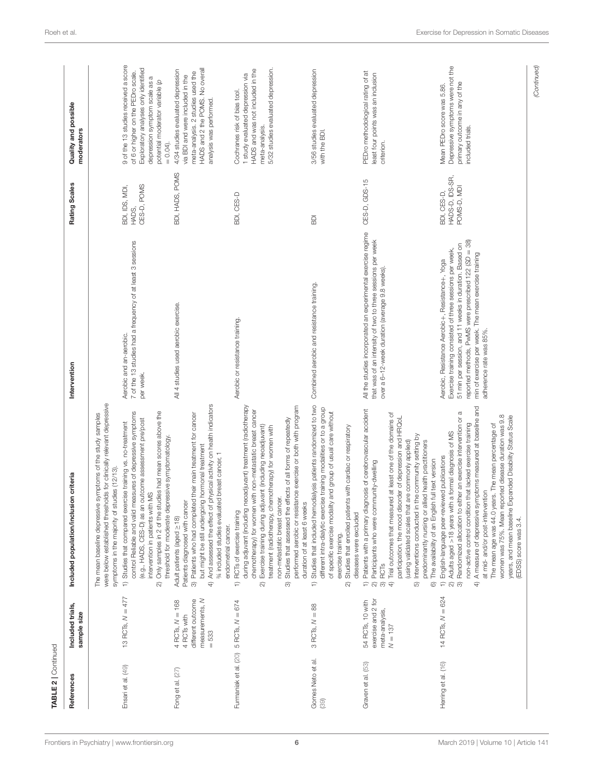| TABLE 2   Continued      |                                                                                       |                                                                                                                                                                                                                                                                                                                                                                                                                                                                                                                                                                                        |                                                                                                                                                                                                                                                                                                                 |                                               |                                                                                                                                                                                                       |
|--------------------------|---------------------------------------------------------------------------------------|----------------------------------------------------------------------------------------------------------------------------------------------------------------------------------------------------------------------------------------------------------------------------------------------------------------------------------------------------------------------------------------------------------------------------------------------------------------------------------------------------------------------------------------------------------------------------------------|-----------------------------------------------------------------------------------------------------------------------------------------------------------------------------------------------------------------------------------------------------------------------------------------------------------------|-----------------------------------------------|-------------------------------------------------------------------------------------------------------------------------------------------------------------------------------------------------------|
| References               | Included trials,<br>sample size                                                       | Included population/inclusion criteria                                                                                                                                                                                                                                                                                                                                                                                                                                                                                                                                                 | Intervention                                                                                                                                                                                                                                                                                                    | Rating Scales                                 | Quality and possible<br>moderators                                                                                                                                                                    |
| Ensari et al. (49)       | $=477$<br>13 RCTs, N                                                                  | were below established thresholds for clinically relevant depressive<br>Only samples in 2 of the studies had mean scores above the<br>control Reliable and valid measures of depressive symptoms<br>The mean baseline depressive symptoms of the study samples<br>(e.g., HADS, CES-D) as an outcome assessment pre/post<br>1) Studies that compared exercise training vs. no-treatment<br>threshold for moderate depressive symptomatology.<br>symptoms in the majority of studies (12/13).<br>intervention in patients with MS<br>ର                                                   | 7 of the 13 studies had a frequency of at least 3 sessions<br>Aerobic and an-aerobic.<br>per week.                                                                                                                                                                                                              | CES-D, POMS<br>BDI, IDS, MDI,<br>HADS,        | 9 of the 13 studies received a score<br>Exploratory analyses only identified<br>of 6 or higher on the PEDro scale.<br>depression symptom scale as a<br>potential moderator variable (p<br>$= 0.04$ ). |
| Fong et al. (27)         | measurements, N<br>different outcome<br>$4$ RCTs, $N = 168$<br>4 RCTs with<br>$= 533$ | 4) And assessed the effect of physical activity on health indicators<br>3) Patients who had completed their main treatment for cancer<br>but might be still undergoing hormonal treatment<br>% included studies evaluated breast cancer, 1<br>Patients diagnosed with cancer<br>Adult patients (aged $\geq$ 18)<br>endometrial cancer.                                                                                                                                                                                                                                                 | All 4 studies used aerobic exercise.                                                                                                                                                                                                                                                                            | BDI, HADS, POMS                               | HADS and 2 the POMS. No overall<br>4/34 studies evaluated depression<br>meta-analysis. 2 studies used the<br>via BDI and were included in the<br>analysis was performed.                              |
| Furmaniak et al. (20)    | $5$ RCTs, $N = 674$                                                                   | during adjuvant (including neoadjuvant) treatment (radiotherapy<br>performed aerobic or resistance exercise or both with program<br>chemotherapy) for women with non-metastatic breast cancer<br>Studies that assessed the effects of all forms of repeatedly<br>Exercise training during adjuvant (including neoadjuvant)<br>treatment (radiotherapy, chemotherapy) for women with<br>non-metastatic breast cancer.<br>duration of at least 6 weeks<br>RCTs of exercise training<br>₽<br>ন<br>ಣ                                                                                       | Aerobic or resistance training.                                                                                                                                                                                                                                                                                 | BDI, CES-D                                    | 5/32 studies evaluated depression.<br>HADS and was not included in the<br>1 study evaluated depression via<br>Cochranes risk of bias tool.<br>meta-analysis.                                          |
| Gomes Neto et al.<br>39) | $= 88$<br>3 RCTs, N                                                                   | Studies that included hemodialysis patients randomized to two<br>different intra-dialytic exercise training modalities or to a group<br>of specific exercise modality and group of usual care without<br>Studies that enrolled patients with cardiac or respiratory<br>diseases were excluded<br>exercise training.<br>₽<br>ন                                                                                                                                                                                                                                                          | Combined aerobic and resistance training.                                                                                                                                                                                                                                                                       | BDI                                           | 3/56 studies evaluated depression<br>with the BDI.                                                                                                                                                    |
| Graven et al. (53)       | exercise and 2 for<br>54 RCTs, 10 with<br>meta-analysis<br>$N = 137$                  | Patients with a primary diagnosis of cerebrovascular accident<br>Trial outcomes that measured at least one of the domains of<br>participation, the mood disorder of depression and HRQoL<br>Interventions conducted in the community setting by<br>(using validated scales that are commonly applied)<br>predominantly nursing or allied health practitioners<br>The availability of an English full text version<br>Participants who were community-dwelling<br><b>RCT<sub>S</sub></b><br>$\widehat{\infty}$ $\widehat{\infty}$ $\widehat{\preccurlyeq}$<br>₽<br>16<br>6              | All the studies incorporated an experimental exercise regime<br>that was of an intensity of two to three sessions per week<br>over a 6-12-week duration (average 9.8 weeks).                                                                                                                                    | CES-D, GDS-15                                 | PEDro methodological rating of at<br>least four points was an inclusion<br>criterion.                                                                                                                 |
| Herring et al. (16)      | $=624$<br>14 RCTs, N                                                                  | A measure of depressive symptoms measured at baseline and<br>$\sigma$<br>women was 75%. Mean reported disease duration was 9.8<br>years, and mean baseline Expanded Disability Status Scale<br>Randomized allocation to either an exercise intervention or<br>non-active control condition that lacked exercise training<br>The mean age was 44.0 years. The mean percentage of<br>Adults aged >18 years with a formal diagnosis of MS<br>English-language peer-reviewed publications<br>at mid- and/or post-intervention<br>(EDSS) score was 3.4.<br>$\Rightarrow$<br>ର ଚ<br>$\oplus$ | reported methods, PwMS were prescribed 122 (SD = 38)<br>51 min per session, and 11 weeks in duration. Based on<br>Exercise training consisted of three sessions per week,<br>min of exercise per week. The mean exercise training<br>Aerobic, Resistance Aerobic+, Resistance+, Yoga<br>adherence rate was 85%. | HADS-D, IDS-SR,<br>POMS-D, MDI<br>BDI, CES-D, | Depressive symptoms were not the<br>primary outcome in any of the<br>Mean PEDro score was 5.86.<br>included trials.                                                                                   |
|                          |                                                                                       |                                                                                                                                                                                                                                                                                                                                                                                                                                                                                                                                                                                        |                                                                                                                                                                                                                                                                                                                 |                                               | (Continued)                                                                                                                                                                                           |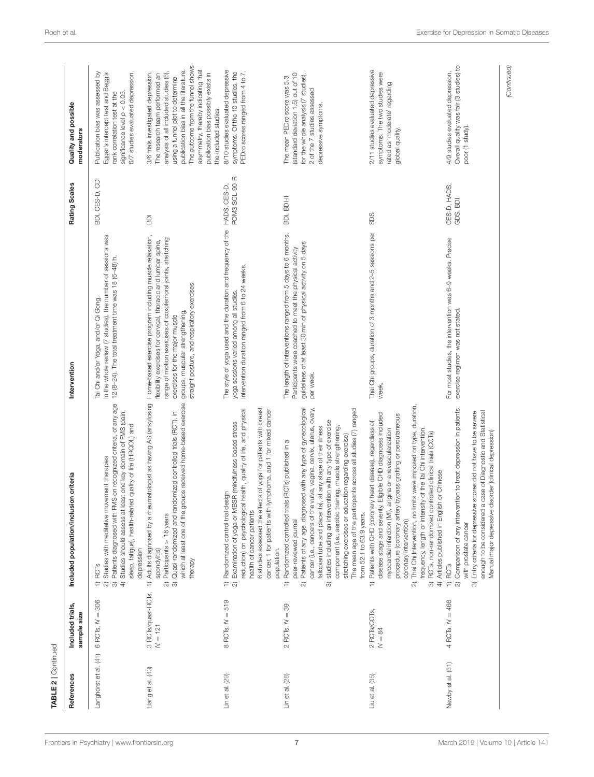|                       |                                 |                                                                                                                                                                                                                                                                                                                                                                                                                                                                                                                                                                                                                                  |                                                                                                                                                                                                                                                                                                                |                          | moderators                                                                                                                                                                                                                                                                                                                              |
|-----------------------|---------------------------------|----------------------------------------------------------------------------------------------------------------------------------------------------------------------------------------------------------------------------------------------------------------------------------------------------------------------------------------------------------------------------------------------------------------------------------------------------------------------------------------------------------------------------------------------------------------------------------------------------------------------------------|----------------------------------------------------------------------------------------------------------------------------------------------------------------------------------------------------------------------------------------------------------------------------------------------------------------|--------------------------|-----------------------------------------------------------------------------------------------------------------------------------------------------------------------------------------------------------------------------------------------------------------------------------------------------------------------------------------|
| Langhorst et al. (41) | $= 306$<br>6 RCTs, N            | 3) Patients diagnosed with FMS on recognized criteria, of any age<br>least one key domain of FMS (pain,<br>sleep, fatigue), health-related quality of life (HRQOL) and<br>Studies with meditative movement therapies<br>4) Studies should assess at<br>depression<br><b>RCT<sub>S</sub></b><br>$\widehat{\phantom{a}}$                                                                                                                                                                                                                                                                                                           | In the whole review (7 studies), the number of sessions was<br>12 (8-24). The total treatment time was 18 (6-48) h.<br>Tai Chi and/or Yoga, and/or Qi Gong.                                                                                                                                                    | BDI, CES-D, CDI          | Publication bias was assessed by<br>6/7 studies evaluated depression.<br>Egger's intercept test and Begg's<br>significance level $\rho < 0.05$<br>rank correlation test at the                                                                                                                                                          |
| Liang et al. (43)     | 3 RCTs/quasi-RCTs,<br>$N = 121$ | 1) Adults diagnosed by a rheumatologist as having AS (ankylosing<br>which at least one of the groups received home-based exercise<br>Quasi-randomized and randomized controlled trials (RCT), in<br>Participants > 18 years<br>spondylitis)<br>therapy<br>$\widehat{\infty}$ $\widehat{\infty}$                                                                                                                                                                                                                                                                                                                                  | Home-based exercise program including muscle relaxation,<br>range of motion exercises of coxofemoral joints, stretching<br>flexibility exercises for cervical, thoracic and lumbar spine,<br>straight posture, and respiratory exercises.<br>groups, muscular strengthening,<br>exercises for the major muscle | 6DI                      | The outcome from the funnel shows<br>asymmetry, thereby indicating that<br>publication bias in all the literature.<br>publication bias possibly exists in<br>3/6 trials investigated depression.<br>analysis of all included studies (6)<br>The research team performed an<br>using a funnel plot to determine<br>the included studies. |
| Lin et al. (29)       | $8$ RCTs, $N = 519$             | ects of yoga for patients with breast<br>reduction) on psychological health, quality of life, and physical<br>lymphoma, and 1 for mixed cancer<br>Examination of yoga or MBSR (mindfulness based stress<br>1) Randomized control trial design<br>health of cancer patients<br>6 studies assessed the eff<br>cancer, 1 for patients with<br>population.<br>$\widehat{\infty}$                                                                                                                                                                                                                                                     | The style of yoga used and the duration and frequency of the HADS, CES-D,<br>Intervention duration ranged from 6 to 24 weeks.<br>yoga sessions varied among all studies.                                                                                                                                       | POMS SCL-90-R            | 8/10 studies evaluated depressive<br>symptoms. Of the 10 studies, the<br>PEDro scores ranged from 4 to 7.                                                                                                                                                                                                                               |
| Lin et al. (28)       | $2$ RCTs, $N = 39$              | cancer (i.e., cancers of the vulva, vagina, cervix, uterus, ovary,<br>Patients of any age, diagnosed with any type of gynecological<br>The mean age of the participants across all studies (7) ranged<br>studies including an intervention with any type of exercise<br>fallopian tube and placenta), at any stage of their illness<br>component (i.e., aerobic training, muscle strengthening,<br>stretching exercises or education regarding exercise)<br>Randomized controlled trials (RCTs) published in a<br>from 52.1 to 63.9 years.<br>peer-reviewed journal<br>$\Rightarrow$<br>$\widehat{\infty}$<br>$\widehat{\infty}$ | The length of interventions ranged from 5 days to 6 months.<br>guidelines of at least 30 min of physical activity on 5 days<br>Participants were coached to meet the physical activity<br>per week.                                                                                                            | BDI, BDI-II              | (standard deviation 1.5) out of 10<br>for the whole analysis (7 studies).<br>The mean PEDro score was 5.3<br>2 of the 7 studies assessed<br>depressive symptoms.                                                                                                                                                                        |
| Liu et al. (35)       | 2 RCTs/CCTs,<br>$N = 84$        | Thai Chi Intervention, no limits were imposed on type, duration,<br>disease stage and severity. Eligible CHD diagnoses included<br>procedure (coronary artery bypass grafting or percutaneous<br>1) Patients with CHD (coronary heart disease), regardless of<br>myocardial infarction (MI), angina or a revascularization<br>frequency, length or intensity of the Tai Chi intervention.<br>3) RCTs, non-randomized controlled clinical trials (CCTs)<br>4) Articles published in English or Chinese<br>coronary intervention)<br>ন                                                                                             | Thai Chi groups, duration of 3 months and 2-5 sessions per<br>week.                                                                                                                                                                                                                                            | SDS                      | 2/11 studies evaluated depressive<br>symptoms. The two studies were<br>rated as 'moderate' regarding<br>global quality.                                                                                                                                                                                                                 |
| Newby et al. (31)     | $4$ RCTs, $N = 466$             | Comparison of any intervention to treat depression in patients<br>a case of Diagnostic and Statistical<br>Entry criteria for depressive scores did not have to be severe<br>disorder (clinical depression)<br>enough to be considered<br>Manual major depressive<br>with prostate cancer<br>1) RCT <sub>S</sub><br>$\widehat{\infty}$<br>$\widehat{\infty}$                                                                                                                                                                                                                                                                      | For most studies, the intervention was 6-9 weeks. Precise<br>exercise regimen was not stated.                                                                                                                                                                                                                  | CES-D, HADS,<br>GDS, BDI | Overall quality was fair (3 studies) to<br>4/9 studies evaluated depression.<br>poor (1 study)                                                                                                                                                                                                                                          |

TABLE 2 | Continued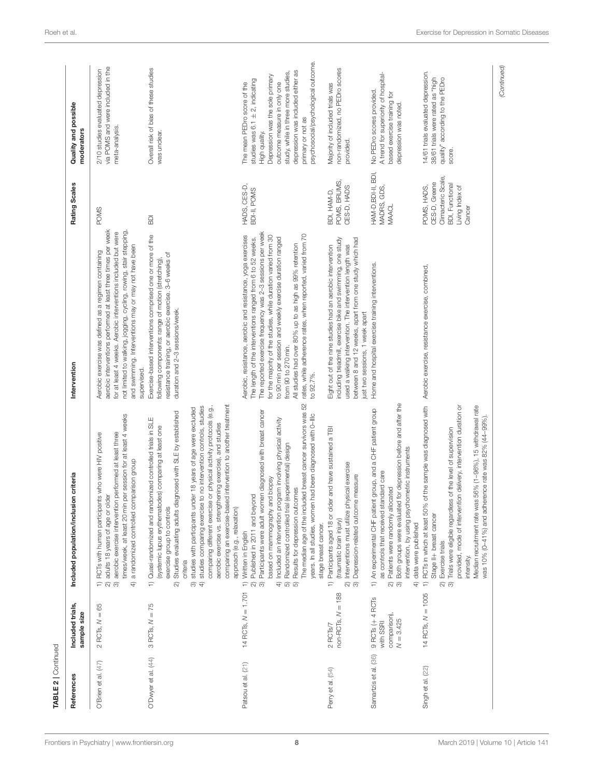| References            | Included trials,                                                                         | Included population/inclusion criteria                                                                                                                                                                                                                                                                                                                                                                                                                                                                                                                                                                               | Intervention                                                                                                                                                                                                                                                                                                                                                                                                                                                                        | Rating Scales                                                                                             | Quality and possible                                                                                                                                                                                                                                                                           |
|-----------------------|------------------------------------------------------------------------------------------|----------------------------------------------------------------------------------------------------------------------------------------------------------------------------------------------------------------------------------------------------------------------------------------------------------------------------------------------------------------------------------------------------------------------------------------------------------------------------------------------------------------------------------------------------------------------------------------------------------------------|-------------------------------------------------------------------------------------------------------------------------------------------------------------------------------------------------------------------------------------------------------------------------------------------------------------------------------------------------------------------------------------------------------------------------------------------------------------------------------------|-----------------------------------------------------------------------------------------------------------|------------------------------------------------------------------------------------------------------------------------------------------------------------------------------------------------------------------------------------------------------------------------------------------------|
|                       | sample size                                                                              |                                                                                                                                                                                                                                                                                                                                                                                                                                                                                                                                                                                                                      |                                                                                                                                                                                                                                                                                                                                                                                                                                                                                     |                                                                                                           | moderators                                                                                                                                                                                                                                                                                     |
| O'Brien et al. (47)   | $= 65$<br>2 RCTs, N                                                                      | times/week, at least 20 min per session for at least 4 weeks<br>aerobic exercise intervention performed at least three<br>RCTs with human participants who were HIV positive<br>a randomized controlled comparison group<br>older<br>adults 18 years of age or<br>$\widehat{\infty}$<br>₽<br>$\widehat{\infty}$<br>$\widehat{+}$                                                                                                                                                                                                                                                                                     | aerobic interventions performed at least three times per week<br>not limited to walking, jogging, cycling, rowing, stair stepping,<br>for at least 4 weeks. Aerobic interventions included but were<br>and swimming. Interventions may or may not have been<br>Aerobic exercise was defined as a regimen containing<br>supervised.                                                                                                                                                  | <b>POMS</b>                                                                                               | via POMS and were included in the<br>2/10 studies evaluated depression<br>meta-analysis.                                                                                                                                                                                                       |
| O'Dwyer et al. (44)   | $3$ RCTs, $N = 75$                                                                       | comparing an exercise-based intervention to another treatment<br>4) studies comparing exercise to no intervention controls, studies<br>comparing different exercise or physical activity protocols (e.g.,<br>studies with participants under 18 years of age were excluded<br>diagnosed with SLE by established<br>1) Quasi-randomized and randomized controlled trials in SLE<br>aerobic exercise vs. strengthening exercise), and studies<br>(systemic lupus erythematodes) comparing at least one<br>exercise group to controls<br>approach (e.g., relaxation)<br>Studies evaluating adults<br>criteria<br>6<br>ন | Exercise-based interventions comprised one or more of the<br>resistance training, or aerobic exercise. 3-6 weeks of<br>following components: range of motion (stretching),<br>duration and 2-3 sessions/week.                                                                                                                                                                                                                                                                       | $\overline{\mathsf{B}}$                                                                                   | Overall risk of bias of these studies<br>was unclear.                                                                                                                                                                                                                                          |
| Patsou et al. (21)    | 14 RCTs, $N = 1.701$                                                                     | The median age of the included breast cancer survivors was 52<br>3) Participants were adult women diagnosed with breast cancer<br>years. In all studies, women had been diagnosed with 0-Illc<br>Included an intervention program involving physical activity<br>Randomized controlled trial (experimental) design<br>based on mammography and biopsy<br>Results for depression outcomes<br>Published in 2011 and beyond<br>stage breast cancer.<br>1) Written in English<br>$\widehat{\mathcal{N}}$<br>$\widehat{\mathcal{F}}$<br><b>คิ</b> คิ                                                                      | The reported exercise frequency was 2-3 sessions per week<br>rates, while adherence rates, when reported, varied from 70<br>Aerobic, resistance, aerobic and resistance, yoga exercises<br>for the majority of the studies, while duration varied from 30<br>to 90 min per session and weekly exercise duration ranged<br>The length of the interventions ranged from 6 to 52 weeks.<br>All studies had over 80% up to as high as 99% retention<br>from 90 to 270 min.<br>to 92.7%. | HADS, CES-D,<br>BDI-II, POMS                                                                              | psychosocial/psychological outcome.<br>depression was included either as<br>study, while in three more studies,<br>Depression was the sole primary<br>studies was $6.1 \pm 2$ , indicating<br>outcome measure in only one<br>The mean PEDro score of the<br>primary or not as<br>High quality. |
| Perry et al. (54)     | $= 188$<br>non-RCTs, N<br>2 RCTs/7                                                       | Participants aged 18 or older and have sustained a TBI<br>physical exercise<br>Depression-related outcome measure<br>Interventions must utilize<br>(traumatic brain injury)<br>ର ଜ<br>₽                                                                                                                                                                                                                                                                                                                                                                                                                              | including treadmill, exercise bike and swimming, one study<br>between 8 and 12 weeks, apart from one study which had<br>used a walking intervention. The intervention length was<br>Eight out of the nine studies had an aerobic intervention<br>just two sessions, 1 week apart                                                                                                                                                                                                    | POMS, BRUMS,<br>CES-D, HADS<br>BDI, HAM-D,                                                                | non-randomized, no PEDro scores<br>Majority of included trials was<br>provided.                                                                                                                                                                                                                |
| Samartzis et al. (36) | $9$ RC <sub>I</sub> s $(+ 4$ RC <sub>IS</sub><br>comparison)<br>$N = 3.425$<br>with SSRI | Both groups were evaluated for depression before and after the<br>An experimental CHF patient group, and a CHF patient group<br>intervention, by using psychometric instruments<br>as controls that received standard care<br>Patients were randomly allocated<br>data were published<br>$\Rightarrow$<br>$\widehat{\mathrm{f}}$<br>ର ଚ                                                                                                                                                                                                                                                                              | Home and hospital exercise training interventions.                                                                                                                                                                                                                                                                                                                                                                                                                                  | HAM-D, BDI-II, BDI,<br>MADRS, GDS,<br><b>MAACL</b>                                                        | A trend for superiority of hospital-<br>No PEDro scores provided.<br>based exercise training for<br>depression was noted.                                                                                                                                                                      |
| Singh et al. (22)     | 14 RCTs, $N = 1005$                                                                      | 1) RCTs in which at least 50% of the sample was diagnosed with Aerobic exercise, resistance exercise, combined,<br>provided, mode of intervention delivery, intervention duration or<br>Median recruitment rate was 56% (1-96%), 15 withdrawal rate<br>was 10% (0-41%) and adherence rate was 82% (44-99%).<br>Trials were eligible regardless of the level of supervision<br>Stage II+ breast cancer<br>Exercise trials<br>intensity.<br>ର ଡ                                                                                                                                                                        |                                                                                                                                                                                                                                                                                                                                                                                                                                                                                     | Climacteric Scale,<br>CES-D, Greene<br><b>BDI, Functional</b><br>POMS, HADS,<br>Living Index of<br>Cancer | 14/61 trials evaluated depression.<br>quality" according to the PEDro<br>38/61 trials were rated as "high<br>score.                                                                                                                                                                            |

[Frontiers in Psychiatry](https://www.frontiersin.org/journals/psychiatry)| [www.frontiersin.org](https://www.frontiersin.org) **8 8** [March 2019 | Volume 10 | Article 141](https://www.frontiersin.org/journals/psychiatry#articles)

TABLE 2 | Continued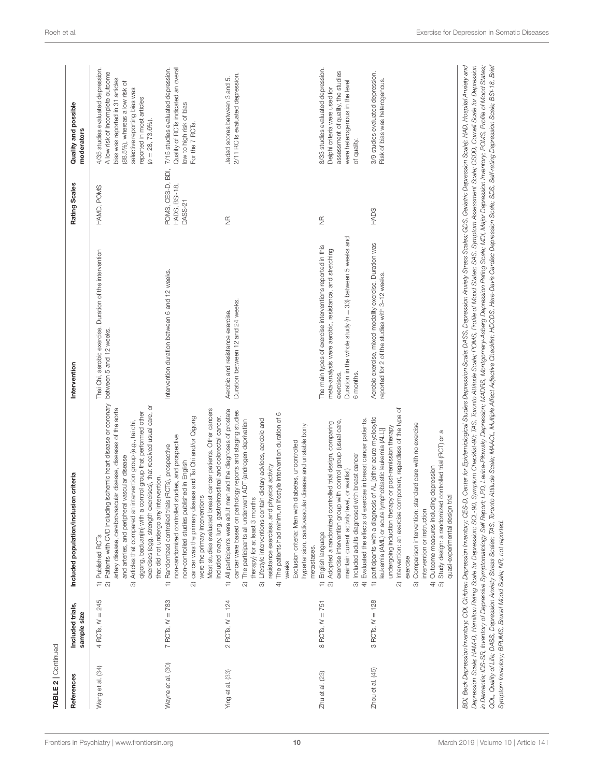| $= 245$<br>$7$ RCTs, $N = 783$<br>4 RCTs, N<br>Wayne et al. (30)<br>Wang et al. (34) |                                                                                                                                                                                                                                                                                                                                                                                                                                                                                                                                                                                   |                                                                                                                                                                                                           |                                               | moderators                                                                                                                                                                                                                       |
|--------------------------------------------------------------------------------------|-----------------------------------------------------------------------------------------------------------------------------------------------------------------------------------------------------------------------------------------------------------------------------------------------------------------------------------------------------------------------------------------------------------------------------------------------------------------------------------------------------------------------------------------------------------------------------------|-----------------------------------------------------------------------------------------------------------------------------------------------------------------------------------------------------------|-----------------------------------------------|----------------------------------------------------------------------------------------------------------------------------------------------------------------------------------------------------------------------------------|
|                                                                                      | Patients with CVD including ischemic heart disease or coronary<br>exercises), that received usual care, or<br>artery disease, cerebrovascular disease, diseases of the aorta<br>qigong, baduanjin) with a control group that performed other<br>Articles that compared an intervention group (e.g., tai chi,<br>and arteries, and peripheral vascular disease<br>intervention.<br>that did not undergo any<br>exercises (egg, strength<br>1) Published RCTs<br>$\overline{a}$<br>$\widehat{\infty}$                                                                               | Thai Chi, aerobic exercise. Duration of the intervention<br>between 5 and 12 weeks.                                                                                                                       | HAMD, POMS                                    | 4/35 studies evaluated depression.<br>A low risk of incomplete outcome<br>bias was reported in 31 articles<br>(88.5%), whereas a low risk of<br>selective reporting bias was<br>reported in most articles<br>$(n = 28, 73.6\%).$ |
|                                                                                      | Most studies evaluated breast cancer patients. Other cancers<br>cancer was the primary disease and Tai Chi and/or Qigong<br>included ovary, lung, gastrointestinal and colorectal cancer.<br>non-randomized controlled studies, and prospective<br>Randomized controlled trials (RCTs), prospective<br>non-controlled studies published in English<br>were the primary interventions<br>$\Rightarrow$<br>ন                                                                                                                                                                        | Intervention duration between 6 and 12 weeks.                                                                                                                                                             | POMS, CES-D, BDI,<br>HADS, BSI-18,<br>DASS-21 | Quality of RCTs indicated an overall<br>7/15 studies evaluated depression.<br>low to high risk of bias<br>For the 7 RCTs.                                                                                                        |
| $2$ RCTs, $N = 124$<br>Ying et al. (33)                                              | All participants were adult men and the diagnoses of prostate<br>cancer were based on pathology reports and staging studies<br>The patients had minimum lifestyle intervention duration of 6<br>3) Lifestyle interventions contain dietary advices, aerobic and<br>The participants all underwent ADT (androgen deprivation<br>hypertension, cardiovascular disease and unstable bony<br>Exclusion criteria: Men with diabetes, uncontrolled<br>resistance exercises, and physical activity<br>therapy) for at least 3 months<br>metastases.<br>weeks<br>$\Rightarrow$<br>ন<br>€  | Duration between 12 and 24 weeks.<br>Aerobic and resistance exercise.                                                                                                                                     | $\frac{\alpha}{2}$                            | 2/11 RCTs evaluated depression.<br>Jadad scores between 3 and 5.                                                                                                                                                                 |
| $8$ RCTs, $N = 751$<br>$Zhu$ et al. $(23)$                                           | 4) Evaluated the effects of exercise in breast cancer patients<br>exercise intervention group with control group (usual care,<br>Adopted a randomized controlled trial design, comparing<br>Included adults diagnosed with breast cancer<br>level, or waitlist)<br>maintain current activity<br>English language<br>$\widehat{\phantom{a}}$<br>$\widehat{\infty}$                                                                                                                                                                                                                 | Duration in the whole study (n = 33) between 5 weeks and<br>The main types of exercise interventions reported in this<br>meta-analysis were aerobic, resistance, and stretching<br>6 months.<br>exercises | $\frac{\alpha}{2}$                            | 8/33 studies evaluated depression.<br>assessment of quality, the studies<br>were heterogenous in the level<br>Delphi criteria were used for<br>of quality.                                                                       |
| $3$ RCTs, $N = 128$<br>$Z$ hou et al. $(45)$                                         | Intervention: an exercise component, regardless of the type of<br>participants with a diagnosis of AL [either acute myelocytic<br>standard care with no exercise<br>undergoing induction therapy or post-remission therapy<br>leukemia (AML) or acute lymphoblastic leukemia (ALL)]<br>Study design: a randomized controlled trial (RCT) or a<br>Outcome measures including depression<br>quasi-experimental design trial<br>Comparison intervention:<br>intervention or instruction<br>exercise<br>$\Rightarrow$<br>$\widehat{\infty}$<br>$\bigoplus$<br>ಣ<br>$\widehat{\omega}$ | Aerobic exercise, mixed-modality exercise. Duration was<br>reported for 2 of the studies with 3-12 weeks.                                                                                                 | <b>HADS</b>                                   | 3/9 studies evaluated depression.<br>Risk of bias was heterogenous.                                                                                                                                                              |

TABLE 2 | Continued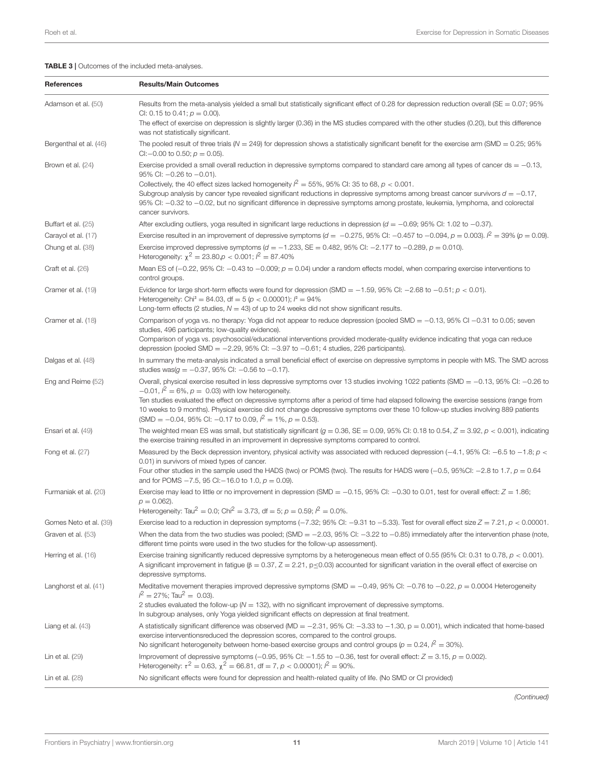### <span id="page-10-0"></span>TABLE 3 | Outcomes of the included meta-analyses.

| References             | <b>Results/Main Outcomes</b>                                                                                                                                                                                                                                                                                                                                                                                                                                                                                                                                            |
|------------------------|-------------------------------------------------------------------------------------------------------------------------------------------------------------------------------------------------------------------------------------------------------------------------------------------------------------------------------------------------------------------------------------------------------------------------------------------------------------------------------------------------------------------------------------------------------------------------|
| Adamson et al. (50)    | Results from the meta-analysis yielded a small but statistically significant effect of 0.28 for depression reduction overall (SE = $0.07$ ; 95%<br>CI: 0.15 to 0.41; $p = 0.00$ ).<br>The effect of exercise on depression is slightly larger (0.36) in the MS studies compared with the other studies (0.20), but this difference<br>was not statistically significant.                                                                                                                                                                                                |
| Bergenthal et al. (46) | The pooled result of three trials ( $N = 249$ ) for depression shows a statistically significant benefit for the exercise arm (SMD = 0.25; 95%<br>CI: $-0.00$ to 0.50; $p = 0.05$ ).                                                                                                                                                                                                                                                                                                                                                                                    |
| Brown et al. (24)      | Exercise provided a small overall reduction in depressive symptoms compared to standard care among all types of cancer ds $= -0.13$ ,<br>95% CI: -0.26 to -0.01).<br>Collectively, the 40 effect sizes lacked homogeneity $l^2 = 55\%$ , 95% CI: 35 to 68, $p < 0.001$ .<br>Subgroup analysis by cancer type revealed significant reductions in depressive symptoms among breast cancer survivors $d = -0.17$ ,<br>95% CI: -0.32 to -0.02, but no significant difference in depressive symptoms among prostate, leukemia, lymphoma, and colorectal<br>cancer survivors. |
| Buffart et al. (25)    | After excluding outliers, yoga resulted in significant large reductions in depression ( $d = -0.69$ ; 95% CI: 1.02 to $-0.37$ ).                                                                                                                                                                                                                                                                                                                                                                                                                                        |
| Carayol et al. (17)    | Exercise resulted in an improvement of depressive symptoms ( $d = -0.275$ , 95% CI: -0.457 to -0.094, $p = 0.003$ ). $l^2 = 39\%$ ( $p = 0.09$ ).                                                                                                                                                                                                                                                                                                                                                                                                                       |
| Chung et al. (38)      | Exercise improved depressive symptoms ( $d = -1.233$ , SE = 0.482, 95% CI: -2.177 to -0.289, $p = 0.010$ ).<br>Heterogeneity: $\chi^2 = 23.80, \rho < 0.001$ ; $l^2 = 87.40\%$                                                                                                                                                                                                                                                                                                                                                                                          |
| Craft et al. (26)      | Mean ES of (-0.22, 95% CI: -0.43 to -0.009; $p = 0.04$ ) under a random effects model, when comparing exercise interventions to<br>control groups.                                                                                                                                                                                                                                                                                                                                                                                                                      |
| Cramer et al. (19)     | Evidence for large short-term effects were found for depression (SMD = $-1.59$ , 95% CI: $-2.68$ to $-0.51$ ; $p < 0.01$ ).<br>Heterogeneity: Chi <sup>2</sup> = 84.03, df = 5 ( $p < 0.00001$ ); $l^2 = 94\%$<br>Long-term effects (2 studies, $N = 43$ ) of up to 24 weeks did not show significant results.                                                                                                                                                                                                                                                          |
| Cramer et al. (18)     | Comparison of yoga vs. no therapy: Yoga did not appear to reduce depression (pooled SMD = $-0.13$ , 95% CI $-0.31$ to 0.05; seven<br>studies, 496 participants; low-quality evidence).<br>Comparison of yoga vs. psychosocial/educational interventions provided moderate-quality evidence indicating that yoga can reduce<br>depression (pooled SMD $=$ -2.29, 95% CI: -3.97 to -0.61; 4 studies, 226 participants).                                                                                                                                                   |
| Dalgas et al. (48)     | In summary the meta-analysis indicated a small beneficial effect of exercise on depressive symptoms in people with MS. The SMD across<br>studies was $(g = -0.37, 95\% \text{ Cl}$ : $-0.56$ to $-0.17$ ).                                                                                                                                                                                                                                                                                                                                                              |
| Eng and Reime (52)     | Overall, physical exercise resulted in less depressive symptoms over 13 studies involving 1022 patients (SMD = -0.13, 95% CI: -0.26 to<br>$-0.01$ , $l^2 = 6\%$ , $p = 0.03$ ) with low heterogeneity.<br>Ten studies evaluated the effect on depressive symptoms after a period of time had elapsed following the exercise sessions (range from<br>10 weeks to 9 months). Physical exercise did not change depressive symptoms over these 10 follow-up studies involving 889 patients<br>(SMD = -0.04, 95% CI: -0.17 to 0.09, $l^2 = 1\%$ , $p = 0.53$ ).              |
| Ensari et al. (49)     | The weighted mean ES was small, but statistically significant $(g = 0.36, SE = 0.09, 95\%$ Cl: 0.18 to 0.54, $Z = 3.92$ , $p < 0.001$ ), indicating<br>the exercise training resulted in an improvement in depressive symptoms compared to control.                                                                                                                                                                                                                                                                                                                     |
| Fong et al. (27)       | Measured by the Beck depression inventory, physical activity was associated with reduced depression (-4.1, 95% CI: -6.5 to -1.8; p <<br>0.01) in survivors of mixed types of cancer.<br>Four other studies in the sample used the HADS (two) or POMS (two). The results for HADS were (-0.5, 95%CI: -2.8 to 1.7, $p = 0.64$<br>and for POMS $-7.5$ , 95 CI: $-16.0$ to 1.0, $p = 0.09$ ).                                                                                                                                                                               |
| Furmaniak et al. (20)  | Exercise may lead to little or no improvement in depression (SMD = $-0.15$ , 95% CI: $-0.30$ to 0.01, test for overall effect: $Z = 1.86$ ;<br>$p = 0.062$ ).<br>Heterogeneity: Tau <sup>2</sup> = 0.0; Chi <sup>2</sup> = 3.73, df = 5; $p = 0.59$ ; $l^2 = 0.0\%$ .                                                                                                                                                                                                                                                                                                   |
| Gomes Neto et al. (39) | Exercise lead to a reduction in depression symptoms (-7.32; 95% CI: -9.31 to -5.33). Test for overall effect size $Z = 7.21$ , $p < 0.00001$ .                                                                                                                                                                                                                                                                                                                                                                                                                          |
| Graven et al. (53)     | When the data from the two studies was pooled; (SMD = $-2.03$ , 95% CI: $-3.22$ to $-0.85$ ) immediately after the intervention phase (note,<br>different time points were used in the two studies for the follow-up assessment).                                                                                                                                                                                                                                                                                                                                       |
| Herring et al. (16)    | Exercise training significantly reduced depressive symptoms by a heterogeneous mean effect of 0.55 (95% CI: 0.31 to 0.78, $p < 0.001$ ).<br>A significant improvement in fatigue ( $\beta = 0.37$ , $Z = 2.21$ , $p \le 0.03$ ) accounted for significant variation in the overall effect of exercise on<br>depressive symptoms.                                                                                                                                                                                                                                        |
| Langhorst et al. (41)  | Meditative movement therapies improved depressive symptoms (SMD = -0.49, 95% CI: -0.76 to -0.22, $p = 0.0004$ Heterogeneity<br>$l^2 = 27\%$ ; Tau <sup>2</sup> = 0.03).<br>2 studies evaluated the follow-up ( $N = 132$ ), with no significant improvement of depressive symptoms.<br>In subgroup analyses, only Yoga yielded significant effects on depression at final treatment.                                                                                                                                                                                    |
| Liang et al. $(43)$    | A statistically significant difference was observed (MD = $-2.31$ , 95% CI: $-3.33$ to $-1.30$ , p = 0.001), which indicated that home-based<br>exercise interventionsreduced the depression scores, compared to the control groups.<br>No significant heterogeneity between home-based exercise groups and control groups ( $p = 0.24$ , $l^2 = 30\%$ ).                                                                                                                                                                                                               |
| Lin et al. (29)        | Improvement of depressive symptoms (-0.95, 95% CI: $-1.55$ to -0.36, test for overall effect: $Z = 3.15$ , $p = 0.002$ ).<br>Heterogeneity: $\tau^2 = 0.63$ , $\chi^2 = 66.81$ , df = 7, $p < 0.00001$ ); $l^2 = 90\%$ .                                                                                                                                                                                                                                                                                                                                                |
| Lin et al. (28)        | No significant effects were found for depression and health-related quality of life. (No SMD or CI provided)                                                                                                                                                                                                                                                                                                                                                                                                                                                            |

(Continued)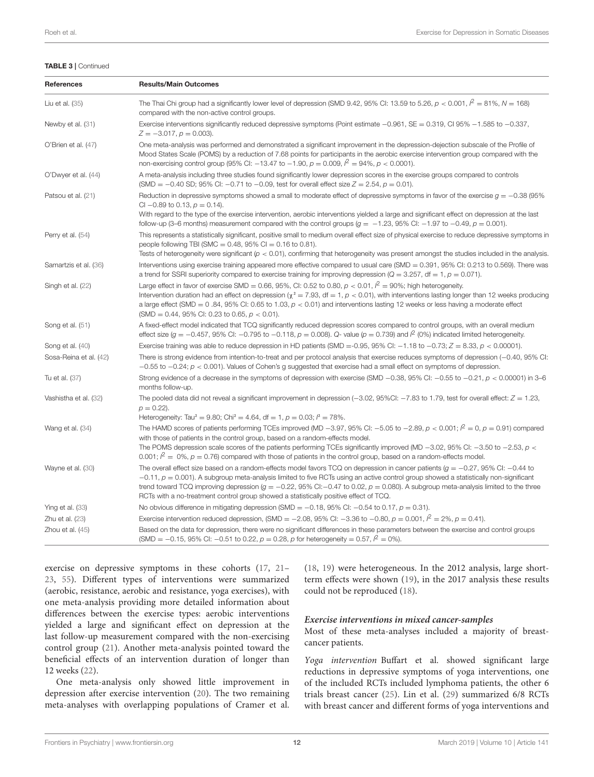#### TABLE 3 | Continued

| References             | <b>Results/Main Outcomes</b>                                                                                                                                                                                                                                                                                                                                                                                                                                                                                                            |
|------------------------|-----------------------------------------------------------------------------------------------------------------------------------------------------------------------------------------------------------------------------------------------------------------------------------------------------------------------------------------------------------------------------------------------------------------------------------------------------------------------------------------------------------------------------------------|
| Liu et al. (35)        | The Thai Chi group had a significantly lower level of depression (SMD 9.42, 95% CI: 13.59 to 5.26, $p < 0.001$ , $l^2 = 81\%$ , $N = 168$ )<br>compared with the non-active control groups.                                                                                                                                                                                                                                                                                                                                             |
| Newby et al. (31)      | Exercise interventions significantly reduced depressive symptoms (Point estimate $-0.961$ , SE = 0.319, CI 95% $-1.585$ to $-0.337$ ,<br>$Z = -3.017$ , $p = 0.003$ ).                                                                                                                                                                                                                                                                                                                                                                  |
| O'Brien et al. (47)    | One meta-analysis was performed and demonstrated a significant improvement in the depression-dejection subscale of the Profile of<br>Mood States Scale (POMS) by a reduction of 7.68 points for participants in the aerobic exercise intervention group compared with the<br>non-exercising control group (95% CI: -13.47 to -1.90, $p = 0.009$ , $l^2 = 94\%$ , $p < 0.0001$ ).                                                                                                                                                        |
| O'Dwyer et al. (44)    | A meta-analysis including three studies found significantly lower depression scores in the exercise groups compared to controls<br>(SMD = -0.40 SD; 95% CI: -0.71 to -0.09, test for overall effect size $Z = 2.54$ , $p = 0.01$ ).                                                                                                                                                                                                                                                                                                     |
| Patsou et al. (21)     | Reduction in depressive symptoms showed a small to moderate effect of depressive symptoms in favor of the exercise $g = -0.38$ (95%)<br>CI -0.89 to 0.13, $p = 0.14$ ).<br>With regard to the type of the exercise intervention, aerobic interventions yielded a large and significant effect on depression at the last<br>follow-up (3–6 months) measurement compared with the control groups ( $q = -1.23$ , 95% CI: -1.97 to -0.49, $p = 0.001$ ).                                                                                   |
| Perry et al. (54)      | This represents a statistically significant, positive small to medium overall effect size of physical exercise to reduce depressive symptoms in<br>people following TBI (SMC = $0.48$ , 95% CI = $0.16$ to 0.81).<br>Tests of heterogeneity were significant ( $p < 0.01$ ), confirming that heterogeneity was present amongst the studies included in the analysis.                                                                                                                                                                    |
| Samartzis et al. (36)  | Interventions using exercise training appeared more effective compared to usual care (SMD = 0.391, 95% CI: 0.213 to 0.569). There was<br>a trend for SSRI superiority compared to exercise training for improving depression ( $Q = 3.257$ , df $= 1$ , $p = 0.071$ ).                                                                                                                                                                                                                                                                  |
| Singh et al. (22)      | Large effect in favor of exercise SMD = 0.66, 95%, CI: 0.52 to 0.80, $p < 0.01$ , $l^2 = 90\%$ ; high heterogeneity.<br>Intervention duration had an effect on depression ( $\chi^2 = 7.93$ , df = 1, $p < 0.01$ ), with interventions lasting longer than 12 weeks producing<br>a large effect (SMD = $0.84$ , 95% CI: 0.65 to 1.03, $p < 0.01$ ) and interventions lasting 12 weeks or less having a moderate effect<br>(SMD = 0.44, 95% CI: 0.23 to 0.65, $p < 0.01$ ).                                                              |
| Song et al. (51)       | A fixed-effect model indicated that TCQ significantly reduced depression scores compared to control groups, with an overall medium<br>effect size $(g = -0.457, 95\%$ Cl: -0.795 to -0.118, $p = 0.008$ ). Q- value $(p = 0.739)$ and $l^2$ (0%) indicated limited heterogeneity.                                                                                                                                                                                                                                                       |
| Song et al. (40)       | Exercise training was able to reduce depression in HD patients (SMD = -0.95, 95% CI: $-1.18$ to $-0.73$ ; $Z = 8.33$ , $\rho < 0.00001$ ).                                                                                                                                                                                                                                                                                                                                                                                              |
| Sosa-Reina et al. (42) | There is strong evidence from intention-to-treat and per protocol analysis that exercise reduces symptoms of depression (-0.40, 95% CI:<br>$-0.55$ to $-0.24$ ; $p < 0.001$ ). Values of Cohen's g suggested that exercise had a small effect on symptoms of depression.                                                                                                                                                                                                                                                                |
| Tu et al. (37)         | Strong evidence of a decrease in the symptoms of depression with exercise (SMD $-0.38$ , 95% CI: $-0.55$ to $-0.21$ , $p < 0.00001$ ) in 3-6<br>months follow-up.                                                                                                                                                                                                                                                                                                                                                                       |
| Vashistha et al. (32)  | The pooled data did not reveal a significant improvement in depression $(-3.02, 95\%$ CI: $-7.83$ to 1.79, test for overall effect: $Z = 1.23$ ,<br>$p = 0.22$ ).<br>Heterogeneity: Tau <sup>2</sup> = 9.80; Chi <sup>2</sup> = 4.64, df = 1, $p = 0.03$ ; $l^2 = 78\%$ .                                                                                                                                                                                                                                                               |
| Wang et al. (34)       | The HAMD scores of patients performing TCEs improved (MD -3.97, 95% CI: -5.05 to -2.89, $p < 0.001$ ; $l^2 = 0$ , $p = 0.91$ ) compared<br>with those of patients in the control group, based on a random-effects model.<br>The POMS depression scale scores of the patients performing TCEs significantly improved (MD -3.02, 95% CI: -3.50 to -2.53, $p <$<br>0.001; $l^2 = 0\%$ , $p = 0.76$ ) compared with those of patients in the control group, based on a random-effects model.                                                |
| Wayne et al. (30)      | The overall effect size based on a random-effects model favors TCQ on depression in cancer patients ( $g = -0.27$ , 95% CI: -0.44 to<br>$-0.11$ , $p = 0.001$ ). A subgroup meta-analysis limited to five RCTs using an active control group showed a statistically non-significant<br>trend toward TCQ improving depression $(g = -0.22, 95\% \text{ Ci} - 0.47 \text{ to } 0.02, p = 0.080)$ . A subgroup meta-analysis limited to the three<br>RCTs with a no-treatment control group showed a statistically positive effect of TCQ. |
| Ying et al. (33)       | No obvious difference in mitigating depression (SMD = -0.18, 95% CI: -0.54 to 0.17, $p = 0.31$ ).                                                                                                                                                                                                                                                                                                                                                                                                                                       |
| Zhu et al. $(23)$      | Exercise intervention reduced depression, (SMD = -2.08, 95% CI: -3.36 to -0.80, $p = 0.001$ , $\beta = 2\%$ , $p = 0.41$ ).                                                                                                                                                                                                                                                                                                                                                                                                             |
| Zhou et al. (45)       | Based on the data for depression, there were no significant differences in these parameters between the exercise and control groups<br>(SMD = -0.15, 95% CI: -0.51 to 0.22, $p = 0.28$ , p for heterogeneity = 0.57, $l^2 = 0$ %).                                                                                                                                                                                                                                                                                                      |

exercise on depressive symptoms in these cohorts [\(17,](#page-15-7) [21–](#page-15-1) [23,](#page-15-8) [55\)](#page-16-3). Different types of interventions were summarized (aerobic, resistance, aerobic and resistance, yoga exercises), with one meta-analysis providing more detailed information about differences between the exercise types: aerobic interventions yielded a large and significant effect on depression at the last follow-up measurement compared with the non-exercising control group [\(21\)](#page-15-1). Another meta-analysis pointed toward the beneficial effects of an intervention duration of longer than 12 weeks [\(22\)](#page-15-4).

One meta-analysis only showed little improvement in depression after exercise intervention [\(20\)](#page-15-32). The two remaining meta-analyses with overlapping populations of Cramer et al.

[\(18,](#page-15-30) [19\)](#page-15-29) were heterogeneous. In the 2012 analysis, large shortterm effects were shown [\(19\)](#page-15-29), in the 2017 analysis these results could not be reproduced [\(18\)](#page-15-30).

#### **Exercise interventions in mixed cancer-samples**

Most of these meta-analyses included a majority of breastcancer patients.

Yoga intervention Buffart et al. showed significant large reductions in depressive symptoms of yoga interventions, one of the included RCTs included lymphoma patients, the other 6 trials breast cancer [\(25\)](#page-15-27). Lin et al. [\(29\)](#page-15-33) summarized 6/8 RCTs with breast cancer and different forms of yoga interventions and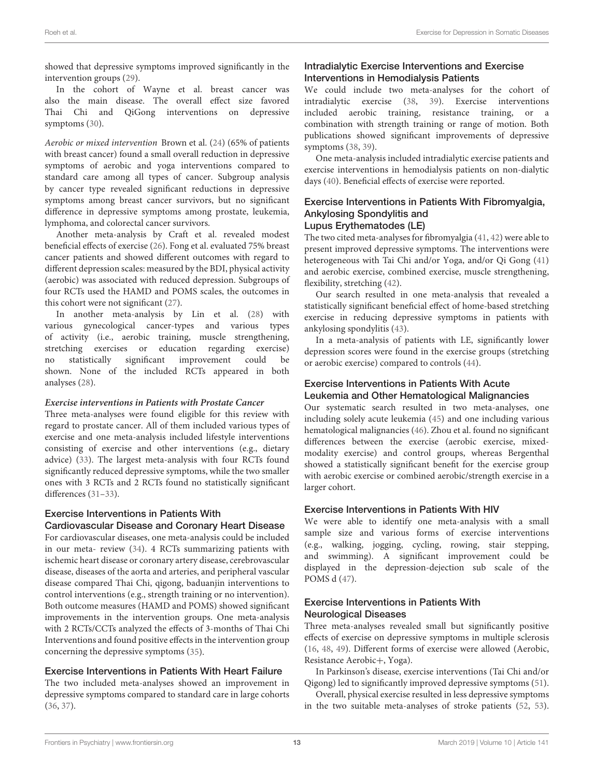showed that depressive symptoms improved significantly in the intervention groups [\(29\)](#page-15-33).

In the cohort of Wayne et al. breast cancer was also the main disease. The overall effect size favored Thai Chi and QiGong interventions on depressive symptoms [\(30\)](#page-15-10).

Aerobic or mixed intervention Brown et al. [\(24\)](#page-15-9) (65% of patients with breast cancer) found a small overall reduction in depressive symptoms of aerobic and yoga interventions compared to standard care among all types of cancer. Subgroup analysis by cancer type revealed significant reductions in depressive symptoms among breast cancer survivors, but no significant difference in depressive symptoms among prostate, leukemia, lymphoma, and colorectal cancer survivors.

Another meta-analysis by Craft et al. revealed modest beneficial effects of exercise [\(26\)](#page-15-28). Fong et al. evaluated 75% breast cancer patients and showed different outcomes with regard to different depression scales: measured by the BDI, physical activity (aerobic) was associated with reduced depression. Subgroups of four RCTs used the HAMD and POMS scales, the outcomes in this cohort were not significant [\(27\)](#page-15-31).

In another meta-analysis by Lin et al. [\(28\)](#page-15-5) with various gynecological cancer-types and various types of activity (i.e., aerobic training, muscle strengthening, stretching exercises or education regarding exercise) no statistically significant improvement could be shown. None of the included RCTs appeared in both analyses [\(28\)](#page-15-5).

#### **Exercise interventions in Patients with Prostate Cancer**

Three meta-analyses were found eligible for this review with regard to prostate cancer. All of them included various types of exercise and one meta-analysis included lifestyle interventions consisting of exercise and other interventions (e.g., dietary advice) [\(33\)](#page-15-12). The largest meta-analysis with four RCTs found significantly reduced depressive symptoms, while the two smaller ones with 3 RCTs and 2 RCTs found no statistically significant differences [\(31](#page-15-11)[–33\)](#page-15-12).

#### Exercise Interventions in Patients With Cardiovascular Disease and Coronary Heart Disease

For cardiovascular diseases, one meta-analysis could be included in our meta- review [\(34\)](#page-15-13). 4 RCTs summarizing patients with ischemic heart disease or coronary artery disease, cerebrovascular disease, diseases of the aorta and arteries, and peripheral vascular disease compared Thai Chi, qigong, baduanjin interventions to control interventions (e.g., strength training or no intervention). Both outcome measures (HAMD and POMS) showed significant improvements in the intervention groups. One meta-analysis with 2 RCTs/CCTs analyzed the effects of 3-months of Thai Chi Interventions and found positive effects in the intervention group concerning the depressive symptoms [\(35\)](#page-15-14).

#### Exercise Interventions in Patients With Heart Failure

The two included meta-analyses showed an improvement in depressive symptoms compared to standard care in large cohorts [\(36,](#page-15-6) [37\)](#page-15-3).

## Intradialytic Exercise Interventions and Exercise Interventions in Hemodialysis Patients

We could include two meta-analyses for the cohort of intradialytic exercise [\(38,](#page-15-15) [39\)](#page-15-16). Exercise interventions included aerobic training, resistance training, or a combination with strength training or range of motion. Both publications showed significant improvements of depressive symptoms [\(38,](#page-15-15) [39\)](#page-15-16).

One meta-analysis included intradialytic exercise patients and exercise interventions in hemodialysis patients on non-dialytic days [\(40\)](#page-15-17). Beneficial effects of exercise were reported.

#### Exercise Interventions in Patients With Fibromyalgia, Ankylosing Spondylitis and Lupus Erythematodes (LE)

The two cited meta-analyses for fibromyalgia [\(41,](#page-15-18) [42\)](#page-15-19) were able to present improved depressive symptoms. The interventions were heterogeneous with Tai Chi and/or Yoga, and/or Qi Gong [\(41\)](#page-15-18) and aerobic exercise, combined exercise, muscle strengthening, flexibility, stretching [\(42\)](#page-15-19).

Our search resulted in one meta-analysis that revealed a statistically significant beneficial effect of home-based stretching exercise in reducing depressive symptoms in patients with ankylosing spondylitis [\(43\)](#page-15-20).

In a meta-analysis of patients with LE, significantly lower depression scores were found in the exercise groups (stretching or aerobic exercise) compared to controls [\(44\)](#page-15-21).

#### Exercise Interventions in Patients With Acute Leukemia and Other Hematological Malignancies

Our systematic search resulted in two meta-analyses, one including solely acute leukemia [\(45\)](#page-15-22) and one including various hematological malignancies [\(46\)](#page-15-0). Zhou et al. found no significant differences between the exercise (aerobic exercise, mixedmodality exercise) and control groups, whereas Bergenthal showed a statistically significant benefit for the exercise group with aerobic exercise or combined aerobic/strength exercise in a larger cohort.

## Exercise Interventions in Patients With HIV

We were able to identify one meta-analysis with a small sample size and various forms of exercise interventions (e.g., walking, jogging, cycling, rowing, stair stepping, and swimming). A significant improvement could be displayed in the depression-dejection sub scale of the POMS d [\(47\)](#page-15-23).

## Exercise Interventions in Patients With Neurological Diseases

Three meta-analyses revealed small but significantly positive effects of exercise on depressive symptoms in multiple sclerosis [\(16,](#page-14-15) [48,](#page-15-24) [49\)](#page-15-25). Different forms of exercise were allowed (Aerobic, Resistance Aerobic+, Yoga).

In Parkinson's disease, exercise interventions (Tai Chi and/or Qigong) led to significantly improved depressive symptoms [\(51\)](#page-15-2).

Overall, physical exercise resulted in less depressive symptoms in the two suitable meta-analyses of stroke patients [\(52,](#page-16-0) [53\)](#page-16-1).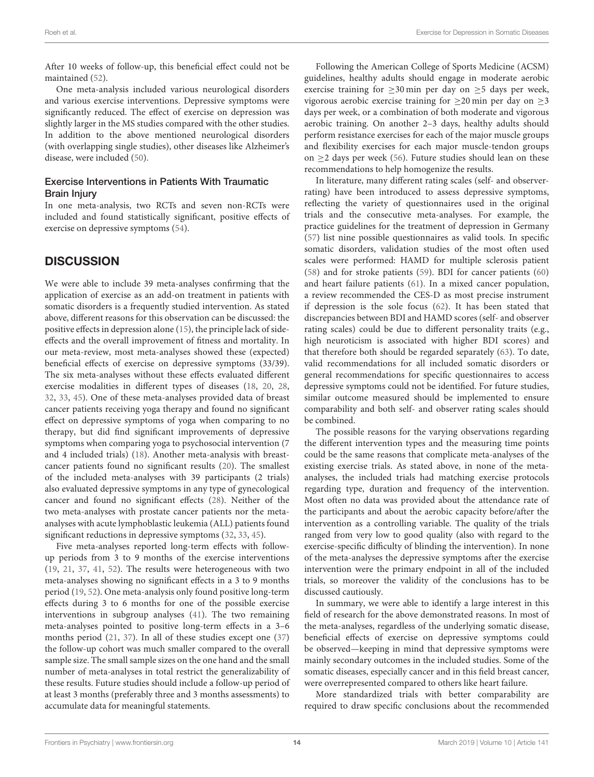After 10 weeks of follow-up, this beneficial effect could not be maintained [\(52\)](#page-16-0).

One meta-analysis included various neurological disorders and various exercise interventions. Depressive symptoms were significantly reduced. The effect of exercise on depression was slightly larger in the MS studies compared with the other studies. In addition to the above mentioned neurological disorders (with overlapping single studies), other diseases like Alzheimer's disease, were included [\(50\)](#page-15-26).

#### Exercise Interventions in Patients With Traumatic Brain Injury

In one meta-analysis, two RCTs and seven non-RCTs were included and found statistically significant, positive effects of exercise on depressive symptoms [\(54\)](#page-16-2).

# **DISCUSSION**

We were able to include 39 meta-analyses confirming that the application of exercise as an add-on treatment in patients with somatic disorders is a frequently studied intervention. As stated above, different reasons for this observation can be discussed: the positive effects in depression alone [\(15\)](#page-14-14), the principle lack of sideeffects and the overall improvement of fitness and mortality. In our meta-review, most meta-analyses showed these (expected) beneficial effects of exercise on depressive symptoms (33/39). The six meta-analyses without these effects evaluated different exercise modalities in different types of diseases [\(18,](#page-15-30) [20,](#page-15-32) [28,](#page-15-5) [32,](#page-15-34) [33,](#page-15-12) [45\)](#page-15-22). One of these meta-analyses provided data of breast cancer patients receiving yoga therapy and found no significant effect on depressive symptoms of yoga when comparing to no therapy, but did find significant improvements of depressive symptoms when comparing yoga to psychosocial intervention (7 and 4 included trials) [\(18\)](#page-15-30). Another meta-analysis with breastcancer patients found no significant results [\(20\)](#page-15-32). The smallest of the included meta-analyses with 39 participants (2 trials) also evaluated depressive symptoms in any type of gynecological cancer and found no significant effects [\(28\)](#page-15-5). Neither of the two meta-analyses with prostate cancer patients nor the metaanalyses with acute lymphoblastic leukemia (ALL) patients found significant reductions in depressive symptoms [\(32,](#page-15-34) [33,](#page-15-12) [45\)](#page-15-22).

Five meta-analyses reported long-term effects with followup periods from 3 to 9 months of the exercise interventions [\(19,](#page-15-29) [21,](#page-15-1) [37,](#page-15-3) [41,](#page-15-18) [52\)](#page-16-0). The results were heterogeneous with two meta-analyses showing no significant effects in a 3 to 9 months period [\(19,](#page-15-29) [52\)](#page-16-0). One meta-analysis only found positive long-term effects during 3 to 6 months for one of the possible exercise interventions in subgroup analyses [\(41\)](#page-15-18). The two remaining meta-analyses pointed to positive long-term effects in a 3–6 months period [\(21,](#page-15-1) [37\)](#page-15-3). In all of these studies except one [\(37\)](#page-15-3) the follow-up cohort was much smaller compared to the overall sample size. The small sample sizes on the one hand and the small number of meta-analyses in total restrict the generalizability of these results. Future studies should include a follow-up period of at least 3 months (preferably three and 3 months assessments) to accumulate data for meaningful statements.

Following the American College of Sports Medicine (ACSM) guidelines, healthy adults should engage in moderate aerobic exercise training for  $\geq$ 30 min per day on  $\geq$ 5 days per week, vigorous aerobic exercise training for  $\geq$ 20 min per day on  $\geq$ 3 days per week, or a combination of both moderate and vigorous aerobic training. On another 2–3 days, healthy adults should perform resistance exercises for each of the major muscle groups and flexibility exercises for each major muscle-tendon groups on  $\geq$ 2 days per week [\(56\)](#page-16-4). Future studies should lean on these recommendations to help homogenize the results.

In literature, many different rating scales (self- and observerrating) have been introduced to assess depressive symptoms, reflecting the variety of questionnaires used in the original trials and the consecutive meta-analyses. For example, the practice guidelines for the treatment of depression in Germany [\(57\)](#page-16-5) list nine possible questionnaires as valid tools. In specific somatic disorders, validation studies of the most often used scales were performed: HAMD for multiple sclerosis patient [\(58\)](#page-16-6) and for stroke patients [\(59\)](#page-16-7). BDI for cancer patients [\(60\)](#page-16-8) and heart failure patients [\(61\)](#page-16-9). In a mixed cancer population, a review recommended the CES-D as most precise instrument if depression is the sole focus [\(62\)](#page-16-10). It has been stated that discrepancies between BDI and HAMD scores (self- and observer rating scales) could be due to different personality traits (e.g., high neuroticism is associated with higher BDI scores) and that therefore both should be regarded separately [\(63\)](#page-16-11). To date, valid recommendations for all included somatic disorders or general recommendations for specific questionnaires to access depressive symptoms could not be identified. For future studies, similar outcome measured should be implemented to ensure comparability and both self- and observer rating scales should be combined.

The possible reasons for the varying observations regarding the different intervention types and the measuring time points could be the same reasons that complicate meta-analyses of the existing exercise trials. As stated above, in none of the metaanalyses, the included trials had matching exercise protocols regarding type, duration and frequency of the intervention. Most often no data was provided about the attendance rate of the participants and about the aerobic capacity before/after the intervention as a controlling variable. The quality of the trials ranged from very low to good quality (also with regard to the exercise-specific difficulty of blinding the intervention). In none of the meta-analyses the depressive symptoms after the exercise intervention were the primary endpoint in all of the included trials, so moreover the validity of the conclusions has to be discussed cautiously.

In summary, we were able to identify a large interest in this field of research for the above demonstrated reasons. In most of the meta-analyses, regardless of the underlying somatic disease, beneficial effects of exercise on depressive symptoms could be observed—keeping in mind that depressive symptoms were mainly secondary outcomes in the included studies. Some of the somatic diseases, especially cancer and in this field breast cancer, were overrepresented compared to others like heart failure.

More standardized trials with better comparability are required to draw specific conclusions about the recommended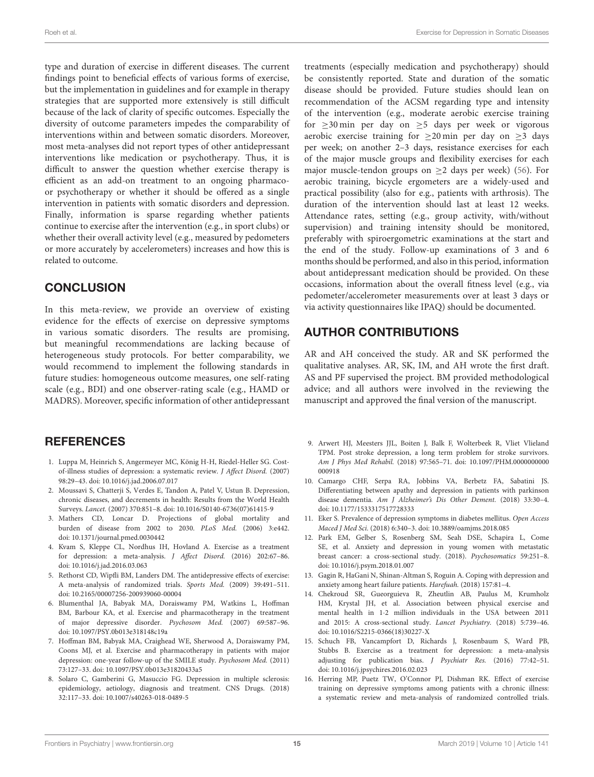type and duration of exercise in different diseases. The current findings point to beneficial effects of various forms of exercise, but the implementation in guidelines and for example in therapy strategies that are supported more extensively is still difficult because of the lack of clarity of specific outcomes. Especially the diversity of outcome parameters impedes the comparability of interventions within and between somatic disorders. Moreover, most meta-analyses did not report types of other antidepressant interventions like medication or psychotherapy. Thus, it is difficult to answer the question whether exercise therapy is efficient as an add-on treatment to an ongoing pharmacoor psychotherapy or whether it should be offered as a single intervention in patients with somatic disorders and depression. Finally, information is sparse regarding whether patients continue to exercise after the intervention (e.g., in sport clubs) or whether their overall activity level (e.g., measured by pedometers or more accurately by accelerometers) increases and how this is related to outcome.

# **CONCLUSION**

In this meta-review, we provide an overview of existing evidence for the effects of exercise on depressive symptoms in various somatic disorders. The results are promising, but meaningful recommendations are lacking because of heterogeneous study protocols. For better comparability, we would recommend to implement the following standards in future studies: homogeneous outcome measures, one self-rating scale (e.g., BDI) and one observer-rating scale (e.g., HAMD or MADRS). Moreover, specific information of other antidepressant

# **REFERENCES**

- <span id="page-14-0"></span>1. Luppa M, Heinrich S, Angermeyer MC, König H-H, Riedel-Heller SG. Costof-illness studies of depression: a systematic review. J Affect Disord. (2007) 98:29–43. doi: [10.1016/j.jad.2006.07.017](https://doi.org/10.1016/j.jad.2006.07.017)
- <span id="page-14-1"></span>2. Moussavi S, Chatterji S, Verdes E, Tandon A, Patel V, Ustun B. Depression, chronic diseases, and decrements in health: Results from the World Health Surveys. Lancet. (2007) 370:851–8. doi: [10.1016/S0140-6736\(07\)61415-9](https://doi.org/10.1016/S0140-6736(07)61415-9)
- <span id="page-14-2"></span>3. Mathers CD, Loncar D. Projections of global mortality and burden of disease from 2002 to 2030. PLoS Med. (2006) 3:e442. doi: [10.1371/journal.pmed.0030442](https://doi.org/10.1371/journal.pmed.0030442)
- <span id="page-14-3"></span>4. Kvam S, Kleppe CL, Nordhus IH, Hovland A. Exercise as a treatment for depression: a meta-analysis. J Affect Disord. (2016) 202:67–86. doi: [10.1016/j.jad.2016.03.063](https://doi.org/10.1016/j.jad.2016.03.063)
- <span id="page-14-4"></span>5. Rethorst CD, Wipfli BM, Landers DM. The antidepressive effects of exercise: A meta-analysis of randomized trials. Sports Med. (2009) 39:491–511. doi: [10.2165/00007256-200939060-00004](https://doi.org/10.2165/00007256-200939060-00004)
- <span id="page-14-5"></span>6. Blumenthal JA, Babyak MA, Doraiswamy PM, Watkins L, Hoffman BM, Barbour KA, et al. Exercise and pharmacotherapy in the treatment of major depressive disorder. Psychosom Med. (2007) 69:587–96. doi: [10.1097/PSY.0b013e318148c19a](https://doi.org/10.1097/PSY.0b013e318148c19a)
- <span id="page-14-6"></span>7. Hoffman BM, Babyak MA, Craighead WE, Sherwood A, Doraiswamy PM, Coons MJ, et al. Exercise and pharmacotherapy in patients with major depression: one-year follow-up of the SMILE study. Psychosom Med. (2011) 73:127–33. doi: [10.1097/PSY.0b013e31820433a5](https://doi.org/10.1097/PSY.0b013e31820433a5)
- <span id="page-14-7"></span>8. Solaro C, Gamberini G, Masuccio FG. Depression in multiple sclerosis: epidemiology, aetiology, diagnosis and treatment. CNS Drugs. (2018) 32:117–33. doi: [10.1007/s40263-018-0489-5](https://doi.org/10.1007/s40263-018-0489-5)

treatments (especially medication and psychotherapy) should be consistently reported. State and duration of the somatic disease should be provided. Future studies should lean on recommendation of the ACSM regarding type and intensity of the intervention (e.g., moderate aerobic exercise training for ≥30 min per day on ≥5 days per week or vigorous aerobic exercise training for  $\geq 20$  min per day on  $\geq 3$  days per week; on another 2–3 days, resistance exercises for each of the major muscle groups and flexibility exercises for each major muscle-tendon groups on  $\geq$  2 days per week) [\(56\)](#page-16-4). For aerobic training, bicycle ergometers are a widely-used and practical possibility (also for e.g., patients with arthrosis). The duration of the intervention should last at least 12 weeks. Attendance rates, setting (e.g., group activity, with/without supervision) and training intensity should be monitored, preferably with spiroergometric examinations at the start and the end of the study. Follow-up examinations of 3 and 6 months should be performed, and also in this period, information about antidepressant medication should be provided. On these occasions, information about the overall fitness level (e.g., via pedometer/accelerometer measurements over at least 3 days or via activity questionnaires like IPAQ) should be documented.

# AUTHOR CONTRIBUTIONS

AR and AH conceived the study. AR and SK performed the qualitative analyses. AR, SK, IM, and AH wrote the first draft. AS and PF supervised the project. BM provided methodological advice; and all authors were involved in the reviewing the manuscript and approved the final version of the manuscript.

- <span id="page-14-8"></span>9. Arwert HJ, Meesters JJL, Boiten J, Balk F, Wolterbeek R, Vliet Vlieland TPM. Post stroke depression, a long term problem for stroke survivors. Am J Phys Med Rehabil. [\(2018\) 97:565–71. doi: 10.1097/PHM.0000000000](https://doi.org/10.1097/PHM.0000000000000918) 000918
- <span id="page-14-9"></span>10. Camargo CHF, Serpa RA, Jobbins VA, Berbetz FA, Sabatini JS. Differentiating between apathy and depression in patients with parkinson disease dementia. Am J Alzheimer's Dis Other Dement. (2018) 33:30–4. doi: [10.1177/1533317517728333](https://doi.org/10.1177/1533317517728333)
- <span id="page-14-10"></span>11. Eker S. Prevalence of depression symptoms in diabetes mellitus. Open Access Maced J Med Sci. (2018) 6:340–3. doi: [10.3889/oamjms.2018.085](https://doi.org/10.3889/oamjms.2018.085)
- <span id="page-14-11"></span>12. Park EM, Gelber S, Rosenberg SM, Seah DSE, Schapira L, Come SE, et al. Anxiety and depression in young women with metastatic breast cancer: a cross-sectional study. (2018). Psychosomatics 59:251–8. doi: [10.1016/j.psym.2018.01.007](https://doi.org/10.1016/j.psym.2018.01.007)
- <span id="page-14-12"></span>13. Gagin R, HaGani N, Shinan-Altman S, Roguin A. Coping with depression and anxiety among heart failure patients. Harefuah. (2018) 157:81–4.
- <span id="page-14-13"></span>14. Chekroud SR, Gueorguieva R, Zheutlin AB, Paulus M, Krumholz HM, Krystal JH, et al. Association between physical exercise and mental health in 1·2 million individuals in the USA between 2011 and 2015: A cross-sectional study. Lancet Psychiatry. (2018) 5:739–46. doi: [10.1016/S2215-0366\(18\)30227-X](https://doi.org/10.1016/S2215-0366(18)30227-X)
- <span id="page-14-14"></span>15. Schuch FB, Vancampfort D, Richards J, Rosenbaum S, Ward PB, Stubbs B. Exercise as a treatment for depression: a meta-analysis adjusting for publication bias. J Psychiatr Res. (2016) 77:42–51. doi: [10.1016/j.jpsychires.2016.02.023](https://doi.org/10.1016/j.jpsychires.2016.02.023)
- <span id="page-14-15"></span>16. Herring MP, Puetz TW, O'Connor PJ, Dishman RK. Effect of exercise training on depressive symptoms among patients with a chronic illness: a systematic review and meta-analysis of randomized controlled trials.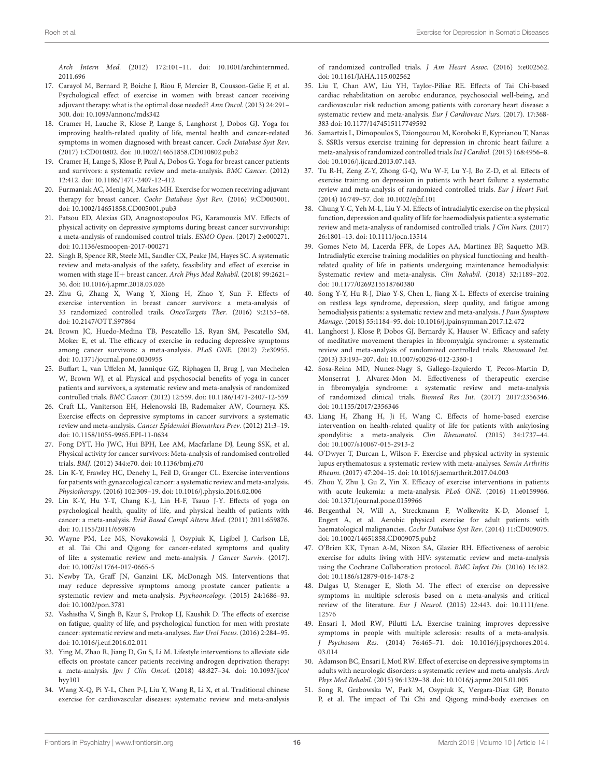Arch Intern Med. [\(2012\) 172:101–11. doi: 10.1001/archinternmed.](https://doi.org/10.1001/archinternmed.2011.696) 2011.696

- <span id="page-15-7"></span>17. Carayol M, Bernard P, Boiche J, Riou F, Mercier B, Cousson-Gelie F, et al. Psychological effect of exercise in women with breast cancer receiving adjuvant therapy: what is the optimal dose needed? Ann Oncol. (2013) 24:291– 300. doi: [10.1093/annonc/mds342](https://doi.org/10.1093/annonc/mds342)
- <span id="page-15-30"></span>18. Cramer H, Lauche R, Klose P, Lange S, Langhorst J, Dobos GJ. Yoga for improving health-related quality of life, mental health and cancer-related symptoms in women diagnosed with breast cancer. Coch Database Syst Rev. (2017) 1:CD010802. doi: [10.1002/14651858.CD010802.pub2](https://doi.org/10.1002/14651858.CD010802.pub2)
- <span id="page-15-29"></span>19. Cramer H, Lange S, Klose P, Paul A, Dobos G. Yoga for breast cancer patients and survivors: a systematic review and meta-analysis. BMC Cancer. (2012) 12:412. doi: [10.1186/1471-2407-12-412](https://doi.org/10.1186/1471-2407-12-412)
- <span id="page-15-32"></span>20. Furmaniak AC, Menig M, Markes MH. Exercise for women receiving adjuvant therapy for breast cancer. Cochr Database Syst Rev. (2016) 9:CD005001. doi: [10.1002/14651858.CD005001.pub3](https://doi.org/10.1002/14651858.CD005001.pub3)
- <span id="page-15-1"></span>21. Patsou ED, Alexias GD, Anagnostopoulos FG, Karamouzis MV. Effects of physical activity on depressive symptoms during breast cancer survivorship: a meta-analysis of randomised control trials. ESMO Open. (2017) 2:e000271. doi: [10.1136/esmoopen-2017-000271](https://doi.org/10.1136/esmoopen-2017-000271)
- <span id="page-15-4"></span>22. Singh B, Spence RR, Steele ML, Sandler CX, Peake JM, Hayes SC. A systematic review and meta-analysis of the safety, feasibility and effect of exercise in women with stage II+ breast cancer. Arch Phys Med Rehabil. (2018) 99:2621-36. doi: [10.1016/j.apmr.2018.03.026](https://doi.org/10.1016/j.apmr.2018.03.026)
- <span id="page-15-8"></span>23. Zhu G, Zhang X, Wang Y, Xiong H, Zhao Y, Sun F. Effects of exercise intervention in breast cancer survivors: a meta-analysis of 33 randomized controlled trails. OncoTargets Ther. (2016) 9:2153–68. doi: [10.2147/OTT.S97864](https://doi.org/10.2147/OTT.S97864)
- <span id="page-15-9"></span>24. Brown JC, Huedo-Medina TB, Pescatello LS, Ryan SM, Pescatello SM, Moker E, et al. The efficacy of exercise in reducing depressive symptoms among cancer survivors: a meta-analysis. PLoS ONE. (2012) 7:e30955. doi: [10.1371/journal.pone.0030955](https://doi.org/10.1371/journal.pone.0030955)
- <span id="page-15-27"></span>25. Buffart L, van Uffelen M, Jannique GZ, Riphagen II, Brug J, van Mechelen W, Brown WJ, et al. Physical and psychosocial benefits of yoga in cancer patients and survivors, a systematic review and meta-analysis of randomized controlled trials. BMC Cancer. (2012) 12:559. doi: [10.1186/1471-2407-12-559](https://doi.org/10.1186/1471-2407-12-559)
- <span id="page-15-28"></span>26. Craft LL, Vaniterson EH, Helenowski IB, Rademaker AW, Courneya KS. Exercise effects on depressive symptoms in cancer survivors: a systematic review and meta-analysis. Cancer Epidemiol Biomarkers Prev. (2012) 21:3–19. doi: [10.1158/1055-9965.EPI-11-0634](https://doi.org/10.1158/1055-9965.EPI-11-0634)
- <span id="page-15-31"></span>27. Fong DYT, Ho JWC, Hui BPH, Lee AM, Macfarlane DJ, Leung SSK, et al. Physical activity for cancer survivors: Meta-analysis of randomised controlled trials. BMJ. (2012) 344:e70. doi: [10.1136/bmj.e70](https://doi.org/10.1136/bmj.e70)
- <span id="page-15-5"></span>28. Lin K-Y, Frawley HC, Denehy L, Feil D, Granger CL. Exercise interventions for patients with gynaecological cancer: a systematic review and meta-analysis. Physiotherapy. (2016) 102:309–19. doi: [10.1016/j.physio.2016.02.006](https://doi.org/10.1016/j.physio.2016.02.006)
- <span id="page-15-33"></span>29. Lin K-Y, Hu Y-T, Chang K-J, Lin H-F, Tsauo J-Y. Effects of yoga on psychological health, quality of life, and physical health of patients with cancer: a meta-analysis. Evid Based Compl Altern Med. (2011) 2011:659876. doi: [10.1155/2011/659876](https://doi.org/10.1155/2011/659876)
- <span id="page-15-10"></span>30. Wayne PM, Lee MS, Novakowski J, Osypiuk K, Ligibel J, Carlson LE, et al. Tai Chi and Qigong for cancer-related symptoms and quality of life: a systematic review and meta-analysis. J Cancer Surviv. (2017). doi: [10.1007/s11764-017-0665-5](https://doi.org/10.1007/s11764-017-0665-5)
- <span id="page-15-11"></span>31. Newby TA, Graff JN, Ganzini LK, McDonagh MS. Interventions that may reduce depressive symptoms among prostate cancer patients: a systematic review and meta-analysis. Psychooncology. (2015) 24:1686–93. doi: [10.1002/pon.3781](https://doi.org/10.1002/pon.3781)
- <span id="page-15-34"></span>32. Vashistha V, Singh B, Kaur S, Prokop LJ, Kaushik D. The effects of exercise on fatigue, quality of life, and psychological function for men with prostate cancer: systematic review and meta-analyses. Eur Urol Focus. (2016) 2:284–95. doi: [10.1016/j.euf.2016.02.011](https://doi.org/10.1016/j.euf.2016.02.011)
- <span id="page-15-12"></span>33. Ying M, Zhao R, Jiang D, Gu S, Li M. Lifestyle interventions to alleviate side effects on prostate cancer patients receiving androgen deprivation therapy: a meta-analysis. Jpn J Clin Oncol. [\(2018\) 48:827–34. doi: 10.1093/jjco/](https://doi.org/10.1093/jjco/hyy101) hyy101
- <span id="page-15-13"></span>34. Wang X-Q, Pi Y-L, Chen P-J, Liu Y, Wang R, Li X, et al. Traditional chinese exercise for cardiovascular diseases: systematic review and meta-analysis

of randomized controlled trials. J Am Heart Assoc. (2016) 5:e002562. doi: [10.1161/JAHA.115.002562](https://doi.org/10.1161/JAHA.115.002562)

- <span id="page-15-14"></span>35. Liu T, Chan AW, Liu YH, Taylor-Piliae RE. Effects of Tai Chi-based cardiac rehabilitation on aerobic endurance, psychosocial well-being, and cardiovascular risk reduction among patients with coronary heart disease: a systematic review and meta-analysis. Eur J Cardiovasc Nurs. (2017). 17:368- 383 doi: [10.1177/1474515117749592](https://doi.org/10.1177/1474515117749592)
- <span id="page-15-6"></span>36. Samartzis L, Dimopoulos S, Tziongourou M, Koroboki E, Kyprianou T, Nanas S. SSRIs versus exercise training for depression in chronic heart failure: a meta-analysis of randomized controlled trialsInt J Cardiol.(2013) 168:4956–8. doi: [10.1016/j.ijcard.2013.07.143.](https://doi.org/10.1016/j.ijcard.2013.07.143.)
- <span id="page-15-3"></span>37. Tu R-H, Zeng Z-Y, Zhong G-Q, Wu W-F, Lu Y-J, Bo Z-D, et al. Effects of exercise training on depression in patients with heart failure: a systematic review and meta-analysis of randomized controlled trials. Eur J Heart Fail. (2014) 16:749–57. doi: [10.1002/ejhf.101](https://doi.org/10.1002/ejhf.101)
- <span id="page-15-15"></span>38. Chung Y-C, Yeh M-L, Liu Y-M. Effects of intradialytic exercise on the physical function, depression and quality of life for haemodialysis patients: a systematic review and meta-analysis of randomised controlled trials. J Clin Nurs. (2017) 26:1801–13. doi: [10.1111/jocn.13514](https://doi.org/10.1111/jocn.13514)
- <span id="page-15-16"></span>39. Gomes Neto M, Lacerda FFR, de Lopes AA, Martinez BP, Saquetto MB. Intradialytic exercise training modalities on physical functioning and healthrelated quality of life in patients undergoing maintenance hemodialysis: Systematic review and meta-analysis. Clin Rehabil. (2018) 32:1189–202. doi: [10.1177/0269215518760380](https://doi.org/10.1177/0269215518760380)
- <span id="page-15-17"></span>40. Song Y-Y, Hu R-J, Diao Y-S, Chen L, Jiang X-L. Effects of exercise training on restless legs syndrome, depression, sleep quality, and fatigue among hemodialysis patients: a systematic review and meta-analysis. J Pain Symptom Manage. (2018) 55:1184–95. doi: [10.1016/j.jpainsymman.2017.12.472](https://doi.org/10.1016/j.jpainsymman.2017.12.472)
- <span id="page-15-18"></span>41. Langhorst J, Klose P, Dobos GJ, Bernardy K, Hauser W. Efficacy and safety of meditative movement therapies in fibromyalgia syndrome: a systematic review and meta-analysis of randomized controlled trials. Rheumatol Int. (2013) 33:193–207. doi: [10.1007/s00296-012-2360-1](https://doi.org/10.1007/s00296-012-2360-1)
- <span id="page-15-19"></span>42. Sosa-Reina MD, Nunez-Nagy S, Gallego-Izquierdo T, Pecos-Martin D, Monserrat J, Alvarez-Mon M. Effectiveness of therapeutic exercise in fibromyalgia syndrome: a systematic review and meta-analysis of randomized clinical trials. Biomed Res Int. (2017) 2017:2356346. doi: [10.1155/2017/2356346](https://doi.org/10.1155/2017/2356346)
- <span id="page-15-20"></span>43. Liang H, Zhang H, Ji H, Wang C. Effects of home-based exercise intervention on health-related quality of life for patients with ankylosing spondylitis: a meta-analysis. Clin Rheumatol. (2015) 34:1737–44. doi: [10.1007/s10067-015-2913-2](https://doi.org/10.1007/s10067-015-2913-2)
- <span id="page-15-21"></span>44. O'Dwyer T, Durcan L, Wilson F. Exercise and physical activity in systemic lupus erythematosus: a systematic review with meta-analyses. Semin Arthritis Rheum. (2017) 47:204–15. doi: [10.1016/j.semarthrit.2017.04.003](https://doi.org/10.1016/j.semarthrit.2017.04.003)
- <span id="page-15-22"></span>45. Zhou Y, Zhu J, Gu Z, Yin X. Efficacy of exercise interventions in patients with acute leukemia: a meta-analysis. PLoS ONE. (2016) 11:e0159966. doi: [10.1371/journal.pone.0159966](https://doi.org/10.1371/journal.pone.0159966)
- <span id="page-15-0"></span>46. Bergenthal N, Will A, Streckmann F, Wolkewitz K-D, Monsef I, Engert A, et al. Aerobic physical exercise for adult patients with haematological malignancies. Cochr Database Syst Rev. (2014) 11:CD009075. doi: [10.1002/14651858.CD009075.pub2](https://doi.org/10.1002/14651858.CD009075.pub2)
- <span id="page-15-23"></span>47. O'Brien KK, Tynan A-M, Nixon SA, Glazier RH. Effectiveness of aerobic exercise for adults living with HIV: systematic review and meta-analysis using the Cochrane Collaboration protocol. BMC Infect Dis. (2016) 16:182. doi: [10.1186/s12879-016-1478-2](https://doi.org/10.1186/s12879-016-1478-2)
- <span id="page-15-24"></span>48. Dalgas U, Stenager E, Sloth M. The effect of exercise on depressive symptoms in multiple sclerosis based on a meta-analysis and critical review of the literature. Eur J Neurol. [\(2015\) 22:443. doi: 10.1111/ene.](https://doi.org/10.1111/ene.12576) 12576
- <span id="page-15-25"></span>49. Ensari I, Motl RW, Pilutti LA. Exercise training improves depressive symptoms in people with multiple sclerosis: results of a meta-analysis. J Psychosom Res. [\(2014\) 76:465–71. doi: 10.1016/j.jpsychores.2014.](https://doi.org/10.1016/j.jpsychores.2014.03.014) 03.014
- <span id="page-15-26"></span>50. Adamson BC, Ensari I, Motl RW. Effect of exercise on depressive symptoms in adults with neurologic disorders: a systematic review and meta-analysis. Arch Phys Med Rehabil. (2015) 96:1329–38. doi: [10.1016/j.apmr.2015.01.005](https://doi.org/10.1016/j.apmr.2015.01.005)
- <span id="page-15-2"></span>51. Song R, Grabowska W, Park M, Osypiuk K, Vergara-Diaz GP, Bonato P, et al. The impact of Tai Chi and Qigong mind-body exercises on